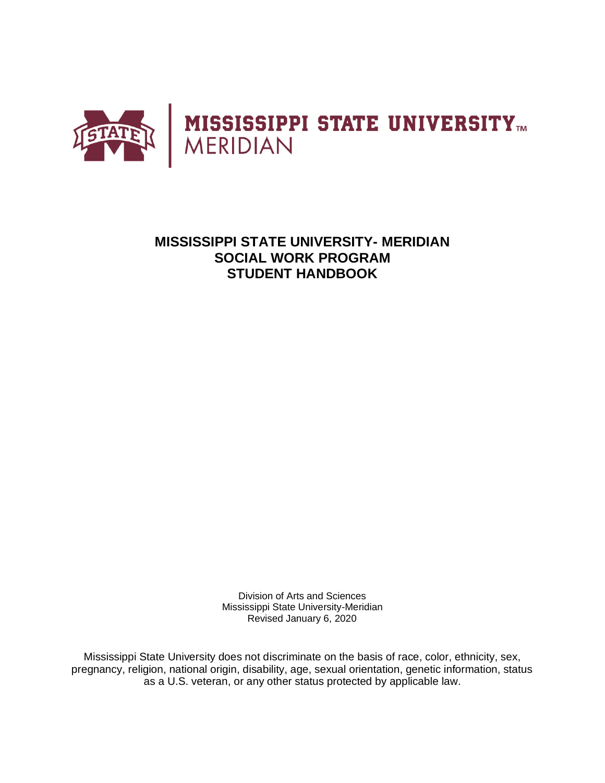

# **MISSISSIPPI STATE UNIVERSITY- MERIDIAN SOCIAL WORK PROGRAM STUDENT HANDBOOK**

Division of Arts and Sciences Mississippi State University-Meridian Revised January 6, 2020

Mississippi State University does not discriminate on the basis of race, color, ethnicity, sex, pregnancy, religion, national origin, disability, age, sexual orientation, genetic information, status as a U.S. veteran, or any other status protected by applicable law.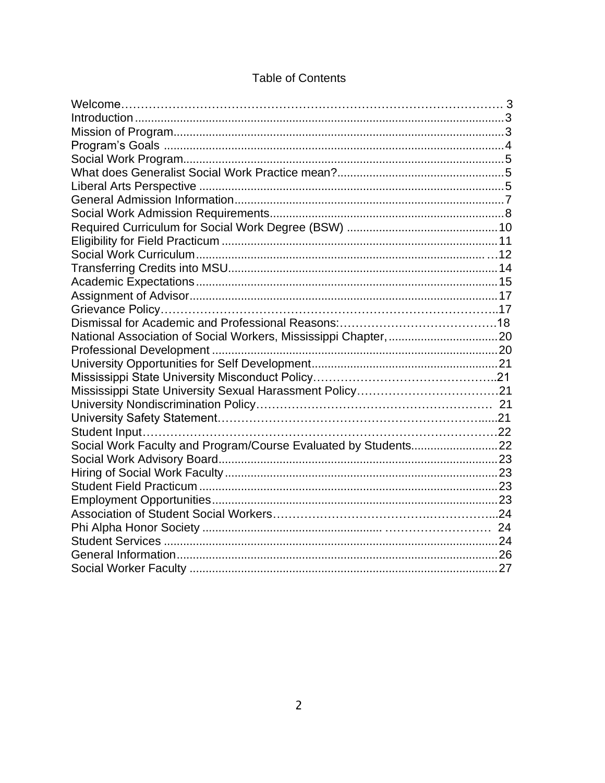| Social Work Faculty and Program/Course Evaluated by Students22 |  |
|----------------------------------------------------------------|--|
|                                                                |  |
|                                                                |  |
|                                                                |  |
|                                                                |  |
|                                                                |  |
|                                                                |  |
|                                                                |  |
|                                                                |  |
|                                                                |  |

# **Table of Contents**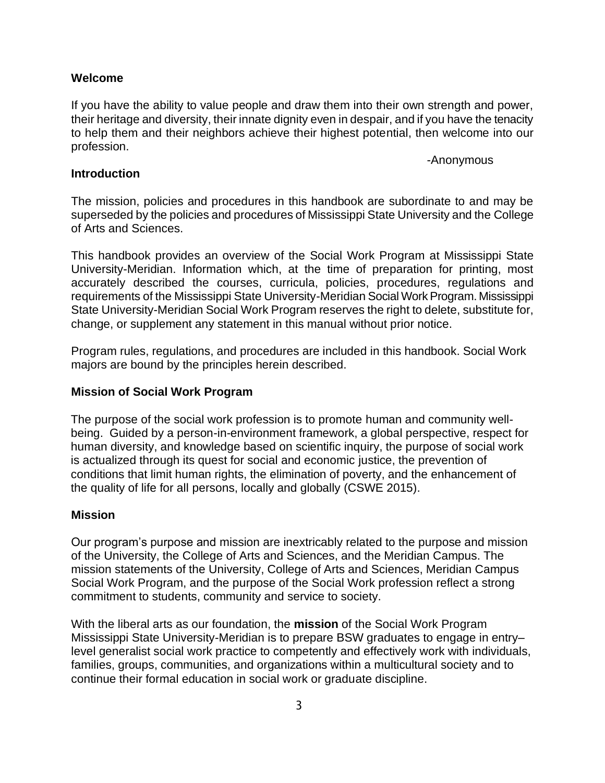## **Welcome**

If you have the ability to value people and draw them into their own strength and power, their heritage and diversity, their innate dignity even in despair, and if you have the tenacity to help them and their neighbors achieve their highest potential, then welcome into our profession.

#### -Anonymous

#### <span id="page-2-0"></span>**Introduction**

The mission, policies and procedures in this handbook are subordinate to and may be superseded by the policies and procedures of Mississippi State University and the College of Arts and Sciences.

This handbook provides an overview of the Social Work Program at Mississippi State University-Meridian. Information which, at the time of preparation for printing, most accurately described the courses, curricula, policies, procedures, regulations and requirements of the Mississippi State University-Meridian Social Work Program. Mississippi State University-Meridian Social Work Program reserves the right to delete, substitute for, change, or supplement any statement in this manual without prior notice.

Program rules, regulations, and procedures are included in this handbook. Social Work majors are bound by the principles herein described.

## <span id="page-2-1"></span>**Mission of Social Work Program**

The purpose of the social work profession is to promote human and community wellbeing. Guided by a person-in-environment framework, a global perspective, respect for human diversity, and knowledge based on scientific inquiry, the purpose of social work is actualized through its quest for social and economic justice, the prevention of conditions that limit human rights, the elimination of poverty, and the enhancement of the quality of life for all persons, locally and globally (CSWE 2015).

#### **Mission**

Our program's purpose and mission are inextricably related to the purpose and mission of the University, the College of Arts and Sciences, and the Meridian Campus. The mission statements of the University, College of Arts and Sciences, Meridian Campus Social Work Program, and the purpose of the Social Work profession reflect a strong commitment to students, community and service to society.

With the liberal arts as our foundation, the **mission** of the Social Work Program Mississippi State University-Meridian is to prepare BSW graduates to engage in entry– level generalist social work practice to competently and effectively work with individuals, families, groups, communities, and organizations within a multicultural society and to continue their formal education in social work or graduate discipline.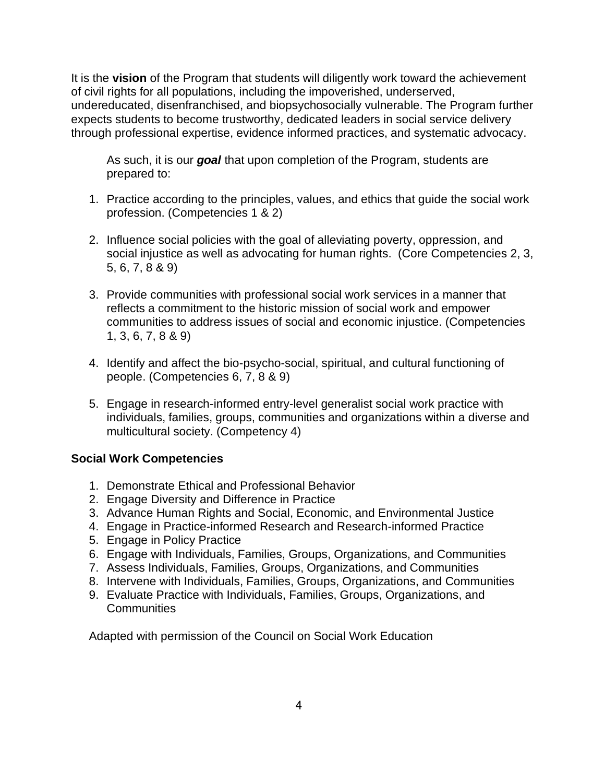It is the **vision** of the Program that students will diligently work toward the achievement of civil rights for all populations, including the impoverished, underserved, undereducated, disenfranchised, and biopsychosocially vulnerable. The Program further expects students to become trustworthy, dedicated leaders in social service delivery through professional expertise, evidence informed practices, and systematic advocacy.

As such, it is our *goal* that upon completion of the Program, students are prepared to:

- 1. Practice according to the principles, values, and ethics that guide the social work profession. (Competencies 1 & 2)
- 2. Influence social policies with the goal of alleviating poverty, oppression, and social injustice as well as advocating for human rights. (Core Competencies 2, 3, 5, 6, 7, 8 & 9)
- 3. Provide communities with professional social work services in a manner that reflects a commitment to the historic mission of social work and empower communities to address issues of social and economic injustice. (Competencies 1, 3, 6, 7, 8 & 9)
- 4. Identify and affect the bio-psycho-social, spiritual, and cultural functioning of people. (Competencies 6, 7, 8 & 9)
- 5. Engage in research-informed entry-level generalist social work practice with individuals, families, groups, communities and organizations within a diverse and multicultural society. (Competency 4)

# **Social Work Competencies**

- 1. Demonstrate Ethical and Professional Behavior
- 2. Engage Diversity and Difference in Practice
- 3. Advance Human Rights and Social, Economic, and Environmental Justice
- 4. Engage in Practice-informed Research and Research-informed Practice
- 5. Engage in Policy Practice
- 6. Engage with Individuals, Families, Groups, Organizations, and Communities
- 7. Assess Individuals, Families, Groups, Organizations, and Communities
- 8. Intervene with Individuals, Families, Groups, Organizations, and Communities
- 9. Evaluate Practice with Individuals, Families, Groups, Organizations, and **Communities**

<span id="page-3-0"></span>Adapted with permission of the Council on Social Work Education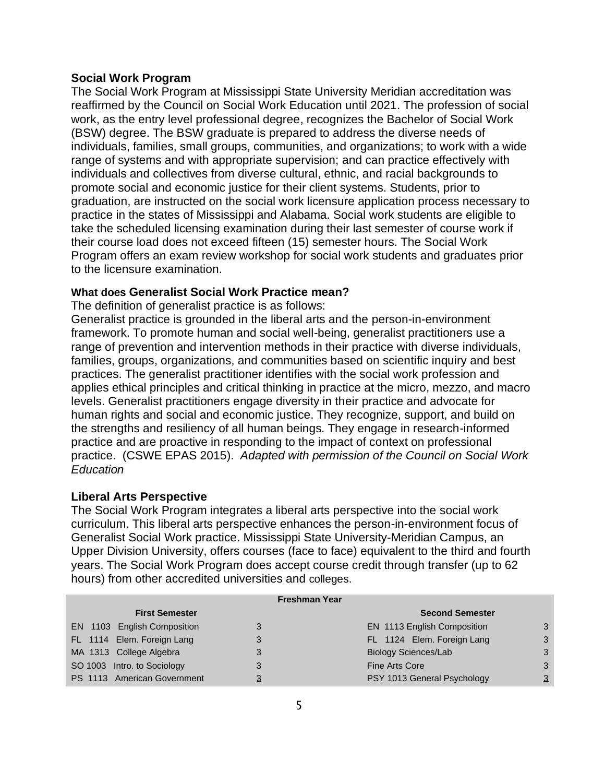#### **Social Work Program**

The Social Work Program at Mississippi State University Meridian accreditation was reaffirmed by the Council on Social Work Education until 2021. The profession of social work, as the entry level professional degree, recognizes the Bachelor of Social Work (BSW) degree. The BSW graduate is prepared to address the diverse needs of individuals, families, small groups, communities, and organizations; to work with a wide range of systems and with appropriate supervision; and can practice effectively with individuals and collectives from diverse cultural, ethnic, and racial backgrounds to promote social and economic justice for their client systems. Students, prior to graduation, are instructed on the social work licensure application process necessary to practice in the states of Mississippi and Alabama. Social work students are eligible to take the scheduled licensing examination during their last semester of course work if their course load does not exceed fifteen (15) semester hours. The Social Work Program offers an exam review workshop for social work students and graduates prior to the licensure examination.

# <span id="page-4-0"></span>**What does Generalist Social Work Practice mean?**

The definition of generalist practice is as follows:

Generalist practice is grounded in the liberal arts and the person-in-environment framework. To promote human and social well-being, generalist practitioners use a range of prevention and intervention methods in their practice with diverse individuals, families, groups, organizations, and communities based on scientific inquiry and best practices. The generalist practitioner identifies with the social work profession and applies ethical principles and critical thinking in practice at the micro, mezzo, and macro levels. Generalist practitioners engage diversity in their practice and advocate for human rights and social and economic justice. They recognize, support, and build on the strengths and resiliency of all human beings. They engage in research-informed practice and are proactive in responding to the impact of context on professional practice. (CSWE EPAS 2015). *Adapted with permission of the Council on Social Work Education*

## <span id="page-4-1"></span>**Liberal Arts Perspective**

The Social Work Program integrates a liberal arts perspective into the social work curriculum. This liberal arts perspective enhances the person-in-environment focus of Generalist Social Work practice. Mississippi State University-Meridian Campus, an Upper Division University, offers courses (face to face) equivalent to the third and fourth years. The Social Work Program does accept course credit through transfer (up to 62 hours) from other accredited universities and colleges.

|                             | <b>Freshman Year</b> |                             |   |
|-----------------------------|----------------------|-----------------------------|---|
| <b>First Semester</b>       |                      | <b>Second Semester</b>      |   |
| EN 1103 English Composition | 3                    | EN 1113 English Composition | 3 |
| FL 1114 Elem. Foreign Lang  | 3                    | FL 1124 Elem. Foreign Lang  | 3 |
| MA 1313 College Algebra     | 3                    | <b>Biology Sciences/Lab</b> | 3 |
| SO 1003 Intro. to Sociology | 3                    | Fine Arts Core              | 3 |
| PS 1113 American Government | 3                    | PSY 1013 General Psychology | 3 |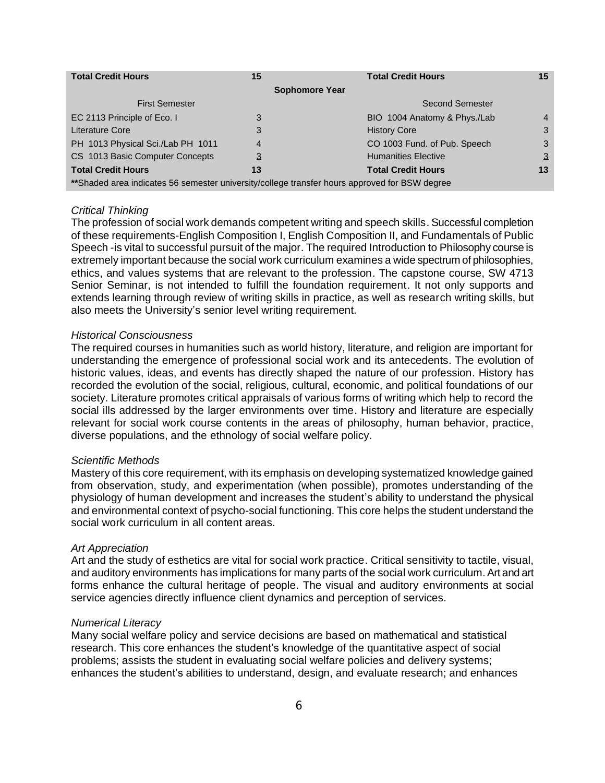| <b>Total Credit Hours</b>                                                                      | 15             | <b>Total Credit Hours</b>    | 15             |  |  |  |  |
|------------------------------------------------------------------------------------------------|----------------|------------------------------|----------------|--|--|--|--|
|                                                                                                |                | <b>Sophomore Year</b>        |                |  |  |  |  |
| <b>First Semester</b>                                                                          |                | <b>Second Semester</b>       |                |  |  |  |  |
| EC 2113 Principle of Eco. I                                                                    | 3              | BIO 1004 Anatomy & Phys./Lab | $\overline{4}$ |  |  |  |  |
| Literature Core                                                                                | 3              | <b>History Core</b>          | 3              |  |  |  |  |
| PH 1013 Physical Sci./Lab PH 1011                                                              | $\overline{4}$ | CO 1003 Fund. of Pub. Speech | 3              |  |  |  |  |
| CS 1013 Basic Computer Concepts                                                                | 3              | <b>Humanities Elective</b>   | 3              |  |  |  |  |
| <b>Total Credit Hours</b>                                                                      | 13             | <b>Total Credit Hours</b>    | 13             |  |  |  |  |
| ** Shaded area indicates 56 semester university/college transfer hours approved for BSW degree |                |                              |                |  |  |  |  |

#### *Critical Thinking*

The profession of social work demands competent writing and speech skills. Successful completion of these requirements-English Composition I, English Composition II, and Fundamentals of Public Speech -is vital to successful pursuit of the major. The required Introduction to Philosophy course is extremely important because the social work curriculum examines a wide spectrum of philosophies, ethics, and values systems that are relevant to the profession. The capstone course, SW 4713 Senior Seminar, is not intended to fulfill the foundation requirement. It not only supports and extends learning through review of writing skills in practice, as well as research writing skills, but also meets the University's senior level writing requirement.

#### *Historical Consciousness*

The required courses in humanities such as world history, literature, and religion are important for understanding the emergence of professional social work and its antecedents. The evolution of historic values, ideas, and events has directly shaped the nature of our profession. History has recorded the evolution of the social, religious, cultural, economic, and political foundations of our society. Literature promotes critical appraisals of various forms of writing which help to record the social ills addressed by the larger environments over time. History and literature are especially relevant for social work course contents in the areas of philosophy, human behavior, practice, diverse populations, and the ethnology of social welfare policy.

#### *Scientific Methods*

Mastery of this core requirement, with its emphasis on developing systematized knowledge gained from observation, study, and experimentation (when possible), promotes understanding of the physiology of human development and increases the student's ability to understand the physical and environmental context of psycho-social functioning. This core helps the student understand the social work curriculum in all content areas.

#### *Art Appreciation*

Art and the study of esthetics are vital for social work practice. Critical sensitivity to tactile, visual, and auditory environments has implications for many parts of the social work curriculum. Art and art forms enhance the cultural heritage of people. The visual and auditory environments at social service agencies directly influence client dynamics and perception of services.

#### *Numerical Literacy*

Many social welfare policy and service decisions are based on mathematical and statistical research. This core enhances the student's knowledge of the quantitative aspect of social problems; assists the student in evaluating social welfare policies and delivery systems; enhances the student's abilities to understand, design, and evaluate research; and enhances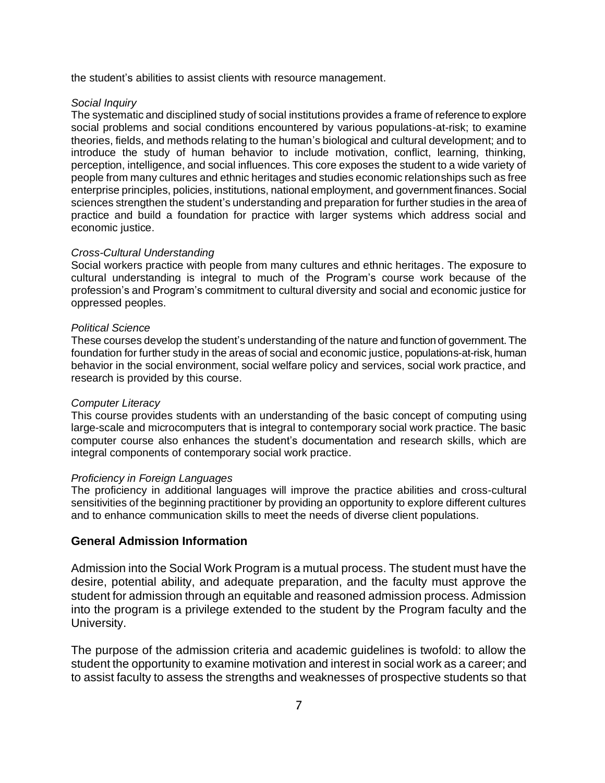the student's abilities to assist clients with resource management.

#### *Social Inquiry*

The systematic and disciplined study of social institutions provides a frame of reference to explore social problems and social conditions encountered by various populations-at-risk; to examine theories, fields, and methods relating to the human's biological and cultural development; and to introduce the study of human behavior to include motivation, conflict, learning, thinking, perception, intelligence, and social influences. This core exposes the student to a wide variety of people from many cultures and ethnic heritages and studies economic relationships such as free enterprise principles, policies, institutions, national employment, and government finances. Social sciences strengthen the student's understanding and preparation for further studies in the area of practice and build a foundation for practice with larger systems which address social and economic justice.

#### *Cross-Cultural Understanding*

Social workers practice with people from many cultures and ethnic heritages. The exposure to cultural understanding is integral to much of the Program's course work because of the profession's and Program's commitment to cultural diversity and social and economic justice for oppressed peoples.

#### *Political Science*

These courses develop the student's understanding of the nature and function of government. The foundation for further study in the areas of social and economic justice, populations-at-risk, human behavior in the social environment, social welfare policy and services, social work practice, and research is provided by this course.

#### *Computer Literacy*

This course provides students with an understanding of the basic concept of computing using large-scale and microcomputers that is integral to contemporary social work practice. The basic computer course also enhances the student's documentation and research skills, which are integral components of contemporary social work practice.

#### *Proficiency in Foreign Languages*

The proficiency in additional languages will improve the practice abilities and cross-cultural sensitivities of the beginning practitioner by providing an opportunity to explore different cultures and to enhance communication skills to meet the needs of diverse client populations.

#### <span id="page-6-0"></span>**General Admission Information**

Admission into the Social Work Program is a mutual process. The student must have the desire, potential ability, and adequate preparation, and the faculty must approve the student for admission through an equitable and reasoned admission process. Admission into the program is a privilege extended to the student by the Program faculty and the University.

The purpose of the admission criteria and academic guidelines is twofold: to allow the student the opportunity to examine motivation and interest in social work as a career; and to assist faculty to assess the strengths and weaknesses of prospective students so that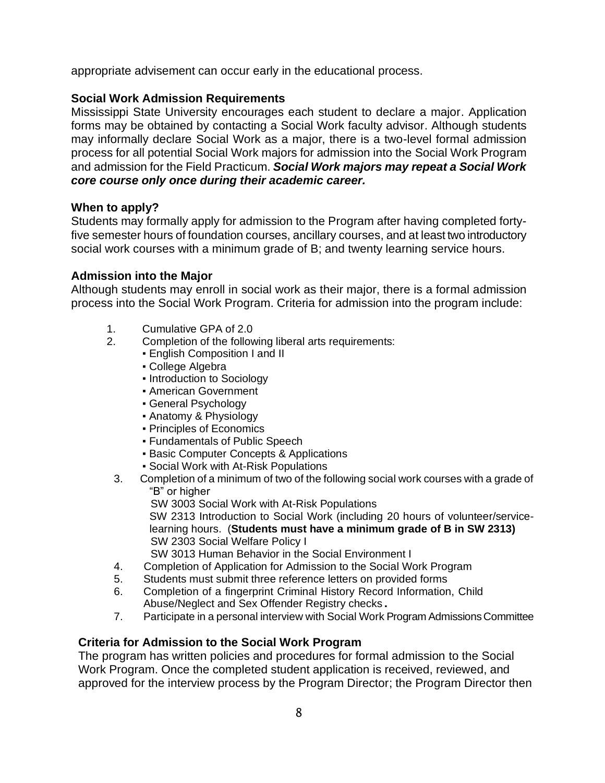appropriate advisement can occur early in the educational process.

# <span id="page-7-0"></span>**Social Work Admission Requirements**

Mississippi State University encourages each student to declare a major. Application forms may be obtained by contacting a Social Work faculty advisor. Although students may informally declare Social Work as a major, there is a two-level formal admission process for all potential Social Work majors for admission into the Social Work Program and admission for the Field Practicum. *Social Work majors may repeat a Social Work core course only once during their academic career.*

# **When to apply?**

Students may formally apply for admission to the Program after having completed fortyfive semester hours of foundation courses, ancillary courses, and at least two introductory social work courses with a minimum grade of B; and twenty learning service hours.

# **Admission into the Major**

Although students may enroll in social work as their major, there is a formal admission process into the Social Work Program. Criteria for admission into the program include:

- 1. Cumulative GPA of 2.0
- 2. Completion of the following liberal arts requirements:
	- English Composition I and II
		- College Algebra
		- Introduction to Sociology
		- American Government
		- General Psychology
		- Anatomy & Physiology
		- Principles of Economics
		- Fundamentals of Public Speech
		- **Basic Computer Concepts & Applications**
		- Social Work with At-Risk Populations
	- 3. Completion of a minimum of two of the following social work courses with a grade of "B" or higher
		- SW 3003 Social Work with At-Risk Populations

SW 2313 Introduction to Social Work (including 20 hours of volunteer/servicelearning hours. (**Students must have a minimum grade of B in SW 2313)** SW 2303 Social Welfare Policy I

SW 3013 Human Behavior in the Social Environment I

- 4. Completion of Application for Admission to the Social Work Program
- 5. Students must submit three reference letters on provided forms
- 6. Completion of a fingerprint Criminal History Record Information, Child Abuse/Neglect and Sex Offender Registry checks.
- 7. Participate in a personal interview with Social Work Program Admissions Committee

# **Criteria for Admission to the Social Work Program**

The program has written policies and procedures for formal admission to the Social Work Program. Once the completed student application is received, reviewed, and approved for the interview process by the Program Director; the Program Director then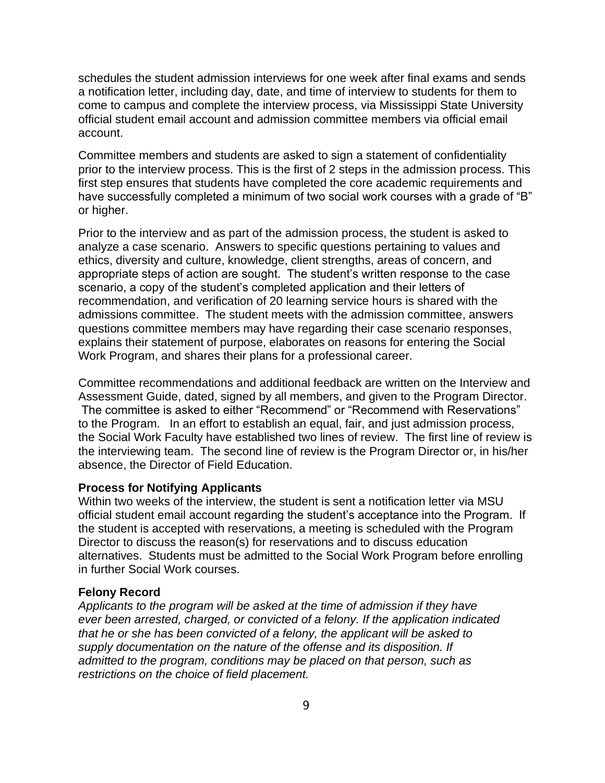schedules the student admission interviews for one week after final exams and sends a notification letter, including day, date, and time of interview to students for them to come to campus and complete the interview process, via Mississippi State University official student email account and admission committee members via official email account.

Committee members and students are asked to sign a statement of confidentiality prior to the interview process. This is the first of 2 steps in the admission process. This first step ensures that students have completed the core academic requirements and have successfully completed a minimum of two social work courses with a grade of "B" or higher.

Prior to the interview and as part of the admission process, the student is asked to analyze a case scenario. Answers to specific questions pertaining to values and ethics, diversity and culture, knowledge, client strengths, areas of concern, and appropriate steps of action are sought. The student's written response to the case scenario, a copy of the student's completed application and their letters of recommendation, and verification of 20 learning service hours is shared with the admissions committee. The student meets with the admission committee, answers questions committee members may have regarding their case scenario responses, explains their statement of purpose, elaborates on reasons for entering the Social Work Program, and shares their plans for a professional career.

Committee recommendations and additional feedback are written on the Interview and Assessment Guide, dated, signed by all members, and given to the Program Director. The committee is asked to either "Recommend" or "Recommend with Reservations" to the Program. In an effort to establish an equal, fair, and just admission process, the Social Work Faculty have established two lines of review. The first line of review is the interviewing team. The second line of review is the Program Director or, in his/her absence, the Director of Field Education.

#### **Process for Notifying Applicants**

Within two weeks of the interview, the student is sent a notification letter via MSU official student email account regarding the student's acceptance into the Program. If the student is accepted with reservations, a meeting is scheduled with the Program Director to discuss the reason(s) for reservations and to discuss education alternatives. Students must be admitted to the Social Work Program before enrolling in further Social Work courses.

#### **Felony Record**

*Applicants to the program will be asked at the time of admission if they have ever been arrested, charged, or convicted of a felony. If the application indicated that he or she has been convicted of a felony, the applicant will be asked to supply documentation on the nature of the offense and its disposition. If admitted to the program, conditions may be placed on that person, such as restrictions on the choice of field placement.*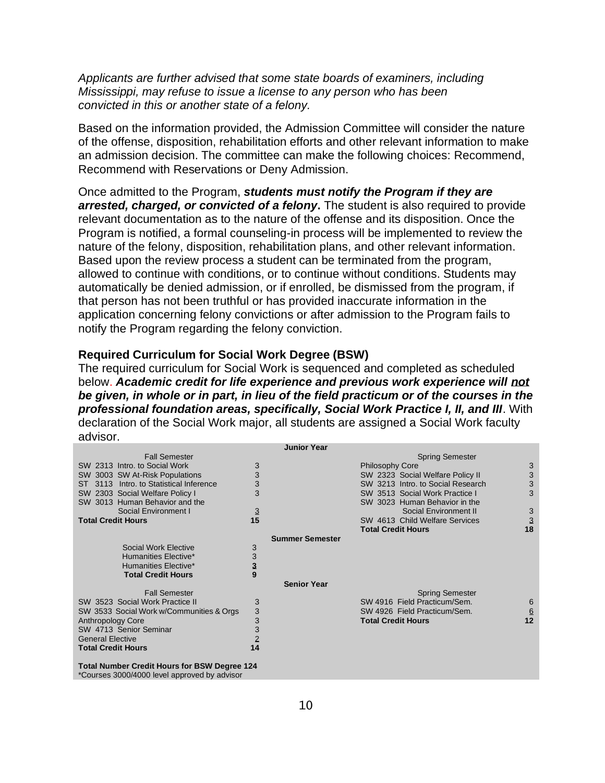*Applicants are further advised that some state boards of examiners, including Mississippi, may refuse to issue a license to any person who has been convicted in this or another state of a felony.*

Based on the information provided, the Admission Committee will consider the nature of the offense, disposition, rehabilitation efforts and other relevant information to make an admission decision. The committee can make the following choices: Recommend, Recommend with Reservations or Deny Admission.

Once admitted to the Program, *students must notify the Program if they are arrested, charged, or convicted of a felony***.** The student is also required to provide relevant documentation as to the nature of the offense and its disposition. Once the Program is notified, a formal counseling-in process will be implemented to review the nature of the felony, disposition, rehabilitation plans, and other relevant information. Based upon the review process a student can be terminated from the program, allowed to continue with conditions, or to continue without conditions. Students may automatically be denied admission, or if enrolled, be dismissed from the program, if that person has not been truthful or has provided inaccurate information in the application concerning felony convictions or after admission to the Program fails to notify the Program regarding the felony conviction.

#### <span id="page-9-0"></span>**Required Curriculum for Social Work Degree (BSW)**

The required curriculum for Social Work is sequenced and completed as scheduled below. *Academic credit for life experience and previous work experience will not be given, in whole or in part, in lieu of the field practicum or of the courses in the professional foundation areas, specifically, Social Work Practice I, II, and III*. With declaration of the Social Work major, all students are assigned a Social Work faculty advisor.

|                                                     |                         | <b>Junior Year</b>                |    |
|-----------------------------------------------------|-------------------------|-----------------------------------|----|
| <b>Fall Semester</b>                                |                         | <b>Spring Semester</b>            |    |
| SW 2313 Intro. to Social Work                       | 3                       | <b>Philosophy Core</b>            | 3  |
| SW 3003 SW At-Risk Populations                      | 3                       | SW 2323 Social Welfare Policy II  | 3  |
| ST 3113 Intro, to Statistical Inference             | 3                       | SW 3213 Intro. to Social Research | 3  |
| SW 2303 Social Welfare Policy I                     | 3                       | SW 3513 Social Work Practice I    | 3  |
| SW 3013 Human Behavior and the                      |                         | SW 3023 Human Behavior in the     |    |
| Social Environment I                                | $\overline{3}$          | Social Environment II             | 3  |
| <b>Total Credit Hours</b>                           | 15                      | SW 4613 Child Welfare Services    | 3  |
|                                                     |                         | <b>Total Credit Hours</b>         | 18 |
|                                                     |                         | <b>Summer Semester</b>            |    |
| <b>Social Work Elective</b>                         | 3                       |                                   |    |
| Humanities Elective*                                | 3                       |                                   |    |
| Humanities Elective*                                | $\overline{\mathbf{3}}$ |                                   |    |
| <b>Total Credit Hours</b>                           | 9                       |                                   |    |
|                                                     |                         | <b>Senior Year</b>                |    |
| <b>Fall Semester</b>                                |                         | <b>Spring Semester</b>            |    |
| SW 3523 Social Work Practice II                     | 3                       | SW 4916 Field Practicum/Sem.      | 6  |
| SW 3533 Social Work w/Communities & Orgs            | 3                       | SW 4926 Field Practicum/Sem.      | 6  |
| <b>Anthropology Core</b>                            | 3                       | <b>Total Credit Hours</b>         | 12 |
| SW 4713 Senior Seminar                              | 3                       |                                   |    |
| <b>General Elective</b>                             | $\overline{2}$          |                                   |    |
| <b>Total Credit Hours</b>                           | 14                      |                                   |    |
|                                                     |                         |                                   |    |
| <b>Total Number Credit Hours for BSW Degree 124</b> |                         |                                   |    |
| *Courses 3000/4000 level approved by advisor        |                         |                                   |    |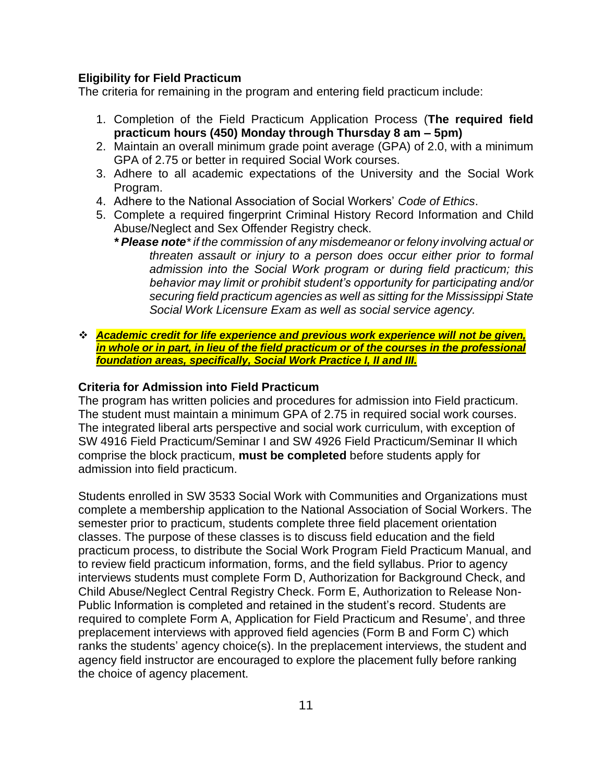## <span id="page-10-0"></span>**Eligibility for Field Practicum**

The criteria for remaining in the program and entering field practicum include:

- 1. Completion of the Field Practicum Application Process (**The required field practicum hours (450) Monday through Thursday 8 am – 5pm)**
- 2. Maintain an overall minimum grade point average (GPA) of 2.0, with a minimum GPA of 2.75 or better in required Social Work courses.
- 3. Adhere to all academic expectations of the University and the Social Work Program.
- 4. Adhere to the National Association of Social Workers' *Code of Ethics*.
- 5. Complete a required fingerprint Criminal History Record Information and Child Abuse/Neglect and Sex Offender Registry check.
	- *\* Please note\* if the commission of any misdemeanor or felony involving actual or threaten assault or injury to a person does occur either prior to formal admission into the Social Work program or during field practicum; this behavior may limit or prohibit student's opportunity for participating and/or securing field practicum agencies as well as sitting for the Mississippi State Social Work Licensure Exam as well as social service agency.*
- ❖ *Academic credit for life experience and previous work experience will not be given, in whole or in part, in lieu of the field practicum or of the courses in the professional foundation areas, specifically, Social Work Practice I, II and III.*

## **Criteria for Admission into Field Practicum**

The program has written policies and procedures for admission into Field practicum. The student must maintain a minimum GPA of 2.75 in required social work courses. The integrated liberal arts perspective and social work curriculum, with exception of SW 4916 Field Practicum/Seminar I and SW 4926 Field Practicum/Seminar II which comprise the block practicum, **must be completed** before students apply for admission into field practicum.

Students enrolled in SW 3533 Social Work with Communities and Organizations must complete a membership application to the National Association of Social Workers. The semester prior to practicum, students complete three field placement orientation classes. The purpose of these classes is to discuss field education and the field practicum process, to distribute the Social Work Program Field Practicum Manual, and to review field practicum information, forms, and the field syllabus. Prior to agency interviews students must complete Form D, Authorization for Background Check, and Child Abuse/Neglect Central Registry Check. Form E, Authorization to Release Non-Public Information is completed and retained in the student's record. Students are required to complete Form A, Application for Field Practicum and Resume', and three preplacement interviews with approved field agencies (Form B and Form C) which ranks the students' agency choice(s). In the preplacement interviews, the student and agency field instructor are encouraged to explore the placement fully before ranking the choice of agency placement.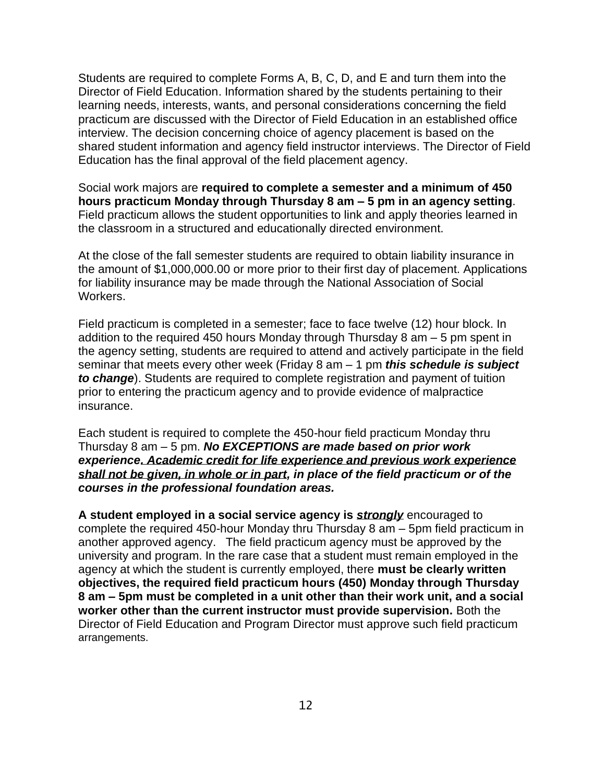Students are required to complete Forms A, B, C, D, and E and turn them into the Director of Field Education. Information shared by the students pertaining to their learning needs, interests, wants, and personal considerations concerning the field practicum are discussed with the Director of Field Education in an established office interview. The decision concerning choice of agency placement is based on the shared student information and agency field instructor interviews. The Director of Field Education has the final approval of the field placement agency.

Social work majors are **required to complete a semester and a minimum of 450 hours practicum Monday through Thursday 8 am – 5 pm in an agency setting**. Field practicum allows the student opportunities to link and apply theories learned in the classroom in a structured and educationally directed environment.

At the close of the fall semester students are required to obtain liability insurance in the amount of \$1,000,000.00 or more prior to their first day of placement. Applications for liability insurance may be made through the National Association of Social Workers.

<span id="page-11-0"></span>Field practicum is completed in a semester; face to face twelve (12) hour block. In addition to the required 450 hours Monday through Thursday 8 am – 5 pm spent in the agency setting, students are required to attend and actively participate in the field seminar that meets every other week (Friday 8 am – 1 pm *this schedule is subject to change*). Students are required to complete registration and payment of tuition prior to entering the practicum agency and to provide evidence of malpractice insurance.

Each student is required to complete the 450-hour field practicum Monday thru Thursday 8 am – 5 pm. *No EXCEPTIONS are made based on prior work experience. Academic credit for life experience and previous work experience shall not be given, in whole or in part, in place of the field practicum or of the courses in the professional foundation areas.*

**A student employed in a social service agency is** *strongly* encouraged to complete the required 450-hour Monday thru Thursday 8 am – 5pm field practicum in another approved agency. The field practicum agency must be approved by the university and program. In the rare case that a student must remain employed in the agency at which the student is currently employed, there **must be clearly written objectives, the required field practicum hours (450) Monday through Thursday 8 am – 5pm must be completed in a unit other than their work unit, and a social worker other than the current instructor must provide supervision.** Both the Director of Field Education and Program Director must approve such field practicum arrangements.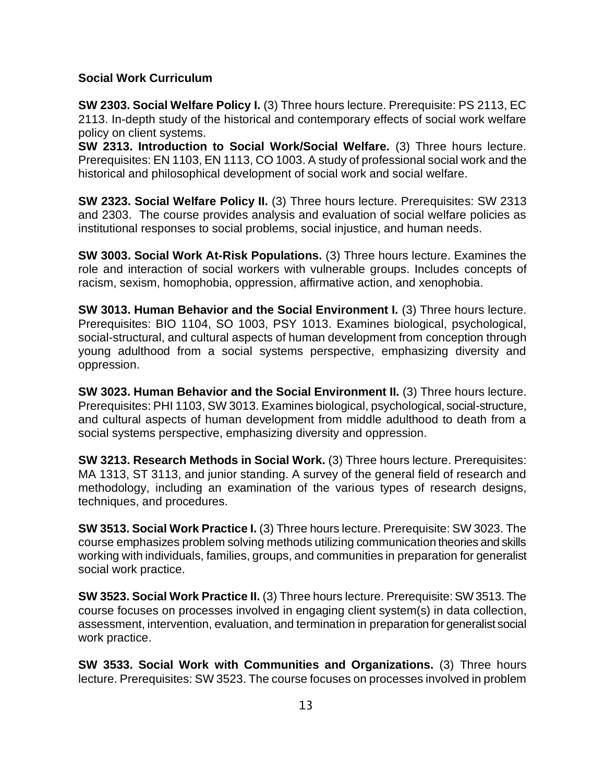## **Social Work Curriculum**

**SW 2303. Social Welfare Policy I.** (3) Three hours lecture. Prerequisite: PS 2113, EC 2113. In-depth study of the historical and contemporary effects of social work welfare policy on client systems.

**SW 2313. Introduction to Social Work/Social Welfare.** (3) Three hours lecture. Prerequisites: EN 1103, EN 1113, CO 1003. A study of professional social work and the historical and philosophical development of social work and social welfare.

**SW 2323. Social Welfare Policy II.** (3) Three hours lecture. Prerequisites: SW 2313 and 2303. The course provides analysis and evaluation of social welfare policies as institutional responses to social problems, social injustice, and human needs.

**SW 3003. Social Work At-Risk Populations.** (3) Three hours lecture. Examines the role and interaction of social workers with vulnerable groups. Includes concepts of racism, sexism, homophobia, oppression, affirmative action, and xenophobia.

**SW 3013. Human Behavior and the Social Environment I.** (3) Three hours lecture. Prerequisites: BIO 1104, SO 1003, PSY 1013. Examines biological, psychological, social-structural, and cultural aspects of human development from conception through young adulthood from a social systems perspective, emphasizing diversity and oppression.

**SW 3023. Human Behavior and the Social Environment II.** (3) Three hours lecture. Prerequisites: PHI 1103, SW 3013. Examines biological, psychological, social-structure, and cultural aspects of human development from middle adulthood to death from a social systems perspective, emphasizing diversity and oppression.

**SW 3213. Research Methods in Social Work.** (3) Three hours lecture. Prerequisites: MA 1313, ST 3113, and junior standing. A survey of the general field of research and methodology, including an examination of the various types of research designs, techniques, and procedures.

**SW 3513. Social Work Practice I.** (3) Three hours lecture. Prerequisite: SW 3023. The course emphasizes problem solving methods utilizing communication theories and skills working with individuals, families, groups, and communities in preparation for generalist social work practice.

**SW 3523. Social Work Practice II.** (3) Three hours lecture. Prerequisite: SW 3513. The course focuses on processes involved in engaging client system(s) in data collection, assessment, intervention, evaluation, and termination in preparation for generalist social work practice.

**SW 3533. Social Work with Communities and Organizations.** (3) Three hours lecture. Prerequisites: SW 3523. The course focuses on processes involved in problem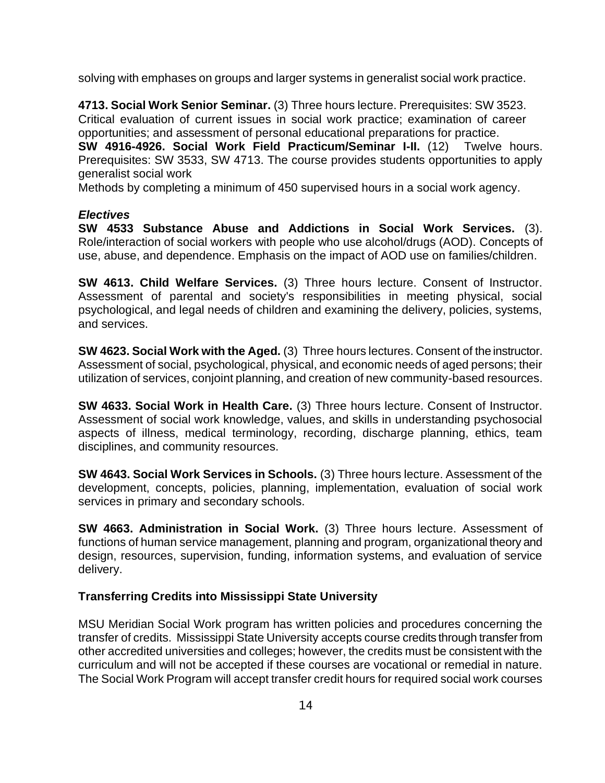solving with emphases on groups and larger systems in generalist social work practice.

**4713. Social Work Senior Seminar.** (3) Three hours lecture. Prerequisites: SW 3523. Critical evaluation of current issues in social work practice; examination of career opportunities; and assessment of personal educational preparations for practice.

**SW 4916-4926. Social Work Field Practicum/Seminar I-II.** (12) Twelve hours. Prerequisites: SW 3533, SW 4713. The course provides students opportunities to apply generalist social work

Methods by completing a minimum of 450 supervised hours in a social work agency.

## *Electives*

**SW 4533 Substance Abuse and Addictions in Social Work Services.** (3). Role/interaction of social workers with people who use alcohol/drugs (AOD). Concepts of use, abuse, and dependence. Emphasis on the impact of AOD use on families/children.

**SW 4613. Child Welfare Services.** (3) Three hours lecture. Consent of Instructor. Assessment of parental and society's responsibilities in meeting physical, social psychological, and legal needs of children and examining the delivery, policies, systems, and services.

**SW 4623. Social Work with the Aged.** (3) Three hours lectures. Consent of the instructor. Assessment of social, psychological, physical, and economic needs of aged persons; their utilization of services, conjoint planning, and creation of new community-based resources.

**SW 4633. Social Work in Health Care.** (3) Three hours lecture. Consent of Instructor. Assessment of social work knowledge, values, and skills in understanding psychosocial aspects of illness, medical terminology, recording, discharge planning, ethics, team disciplines, and community resources.

**SW 4643. Social Work Services in Schools.** (3) Three hours lecture. Assessment of the development, concepts, policies, planning, implementation, evaluation of social work services in primary and secondary schools.

**SW 4663. Administration in Social Work.** (3) Three hours lecture. Assessment of functions of human service management, planning and program, organizational theory and design, resources, supervision, funding, information systems, and evaluation of service delivery.

## <span id="page-13-0"></span>**Transferring Credits into Mississippi State University**

MSU Meridian Social Work program has written policies and procedures concerning the transfer of credits. Mississippi State University accepts course credits through transfer from other accredited universities and colleges; however, the credits must be consistent with the curriculum and will not be accepted if these courses are vocational or remedial in nature. The Social Work Program will accept transfer credit hours for required social work courses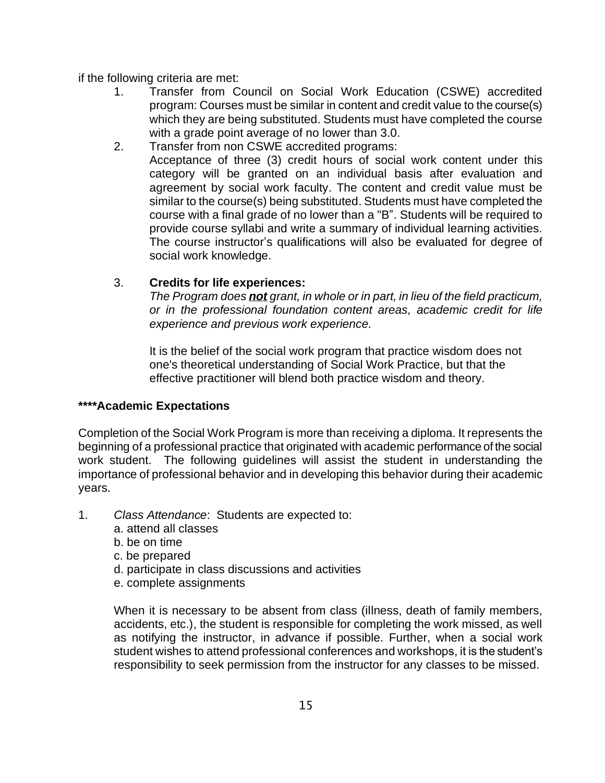if the following criteria are met:

- 1. Transfer from Council on Social Work Education (CSWE) accredited program: Courses must be similar in content and credit value to the course(s) which they are being substituted. Students must have completed the course with a grade point average of no lower than 3.0.
- 2. Transfer from non CSWE accredited programs:
	- Acceptance of three (3) credit hours of social work content under this category will be granted on an individual basis after evaluation and agreement by social work faculty. The content and credit value must be similar to the course(s) being substituted. Students must have completed the course with a final grade of no lower than a "B". Students will be required to provide course syllabi and write a summary of individual learning activities. The course instructor's qualifications will also be evaluated for degree of social work knowledge.

# 3. **Credits for life experiences:**

*The Program does not grant, in whole or in part, in lieu of the field practicum, or in the professional foundation content areas, academic credit for life experience and previous work experience.*

It is the belief of the social work program that practice wisdom does not one's theoretical understanding of Social Work Practice, but that the effective practitioner will blend both practice wisdom and theory.

# <span id="page-14-0"></span>**\*\*\*\*Academic Expectations**

Completion of the Social Work Program is more than receiving a diploma. It represents the beginning of a professional practice that originated with academic performance of the social work student. The following guidelines will assist the student in understanding the importance of professional behavior and in developing this behavior during their academic years.

- 1. *Class Attendance*: Students are expected to:
	- a. attend all classes
	- b. be on time
	- c. be prepared
	- d. participate in class discussions and activities
	- e. complete assignments

When it is necessary to be absent from class (illness, death of family members, accidents, etc.), the student is responsible for completing the work missed, as well as notifying the instructor, in advance if possible. Further, when a social work student wishes to attend professional conferences and workshops, it is the student's responsibility to seek permission from the instructor for any classes to be missed.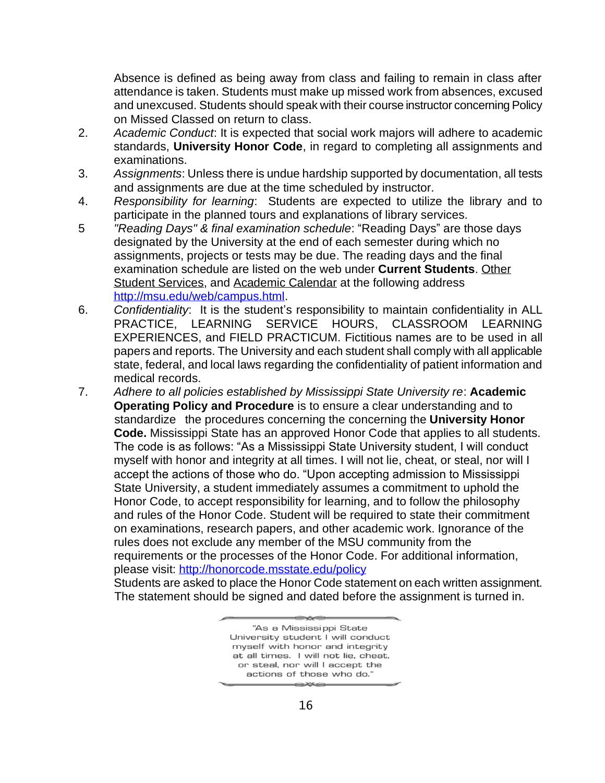Absence is defined as being away from class and failing to remain in class after attendance is taken. Students must make up missed work from absences, excused and unexcused. Students should speak with their course instructor concerning Policy on Missed Classed on return to class.

- 2. *Academic Conduct*: It is expected that social work majors will adhere to academic standards, **University Honor Code**, in regard to completing all assignments and examinations.
- 3. *Assignments*: Unless there is undue hardship supported by documentation, all tests and assignments are due at the time scheduled by instructor.
- 4. *Responsibility for learning*: Students are expected to utilize the library and to participate in the planned tours and explanations of library services.
- 5 *"Reading Days" & final examination schedule*: "Reading Days" are those days designated by the University at the end of each semester during which no assignments, projects or tests may be due. The reading days and the final examination schedule are listed on the web under **Current Students**. Other Student Services, and Academic Calendar at the following address [http://msu.edu/web/campus.html.](http://msu.edu/web/campus.html)
- 6. *Confidentiality*: It is the student's responsibility to maintain confidentiality in ALL PRACTICE, LEARNING SERVICE HOURS, CLASSROOM LEARNING EXPERIENCES, and FIELD PRACTICUM. Fictitious names are to be used in all papers and reports. The University and each student shall comply with all applicable state, federal, and local laws regarding the confidentiality of patient information and medical records.
- 7. *Adhere to all policies established by Mississippi State University re*: **Academic Operating Policy and Procedure** is to ensure a clear understanding and to standardize the procedures concerning the concerning the **University Honor Code.** Mississippi State has an approved Honor Code that applies to all students. The code is as follows: "As a Mississippi State University student, I will conduct myself with honor and integrity at all times. I will not lie, cheat, or steal, nor will I accept the actions of those who do. "Upon accepting admission to Mississippi State University, a student immediately assumes a commitment to uphold the Honor Code, to accept responsibility for learning, and to follow the philosophy and rules of the Honor Code. Student will be required to state their commitment on examinations, research papers, and other academic work. Ignorance of the rules does not exclude any member of the MSU community from the requirements or the processes of the Honor Code. For additional information, please visit:<http://honorcode.msstate.edu/policy>

Students are asked to place the Honor Code statement on each written assignment. The statement should be signed and dated before the assignment is turned in.

> "As a Mississippi State University student I will conduct myself with honor and integrity at all times. I will not lie, cheat, or steal, nor will I accept the actions of those who do."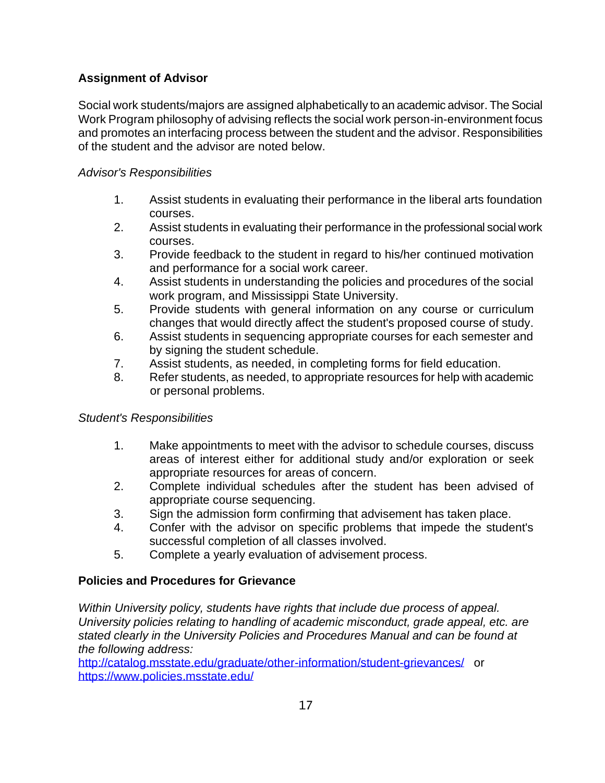# <span id="page-16-0"></span>**Assignment of Advisor**

Social work students/majors are assigned alphabetically to an academic advisor. The Social Work Program philosophy of advising reflects the social work person-in-environment focus and promotes an interfacing process between the student and the advisor. Responsibilities of the student and the advisor are noted below.

# *Advisor's Responsibilities*

- 1. Assist students in evaluating their performance in the liberal arts foundation courses.
- 2. Assist students in evaluating their performance in the professional social work courses.
- 3. Provide feedback to the student in regard to his/her continued motivation and performance for a social work career.
- 4. Assist students in understanding the policies and procedures of the social work program, and Mississippi State University.
- 5. Provide students with general information on any course or curriculum changes that would directly affect the student's proposed course of study.
- 6. Assist students in sequencing appropriate courses for each semester and by signing the student schedule.
- 7. Assist students, as needed, in completing forms for field education.
- 8. Refer students, as needed, to appropriate resources for help with academic or personal problems.

# *Student's Responsibilities*

- 1. Make appointments to meet with the advisor to schedule courses, discuss areas of interest either for additional study and/or exploration or seek appropriate resources for areas of concern.
- 2. Complete individual schedules after the student has been advised of appropriate course sequencing.
- 3. Sign the admission form confirming that advisement has taken place.
- 4. Confer with the advisor on specific problems that impede the student's successful completion of all classes involved.
- 5. Complete a yearly evaluation of advisement process.

# <span id="page-16-1"></span>**Policies and Procedures for Grievance**

*Within University policy, students have rights that include due process of appeal. University policies relating to handling of academic misconduct, grade appeal, etc. are stated clearly in the University Policies and Procedures Manual and can be found at the following address:*

<http://catalog.msstate.edu/graduate/other-information/student-grievances/>or <https://www.policies.msstate.edu/>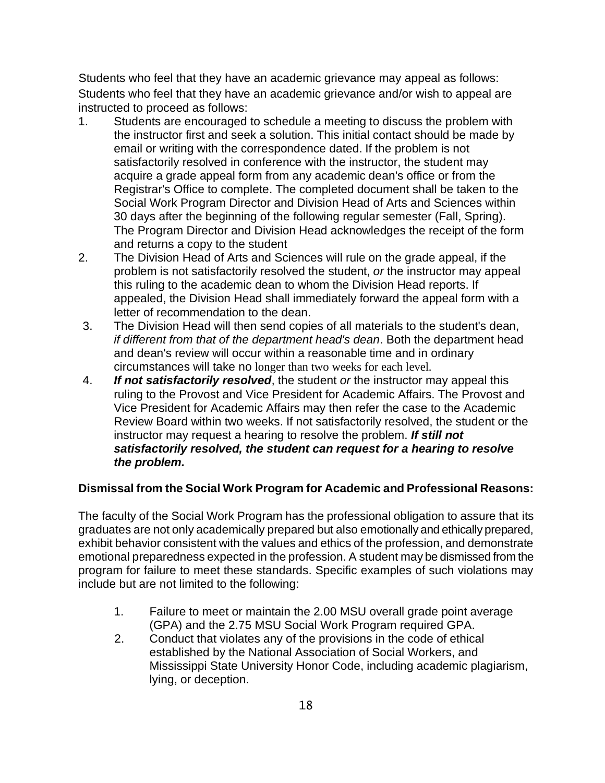Students who feel that they have an academic grievance may appeal as follows: Students who feel that they have an academic grievance and/or wish to appeal are instructed to proceed as follows:

- 1. Students are encouraged to schedule a meeting to discuss the problem with the instructor first and seek a solution. This initial contact should be made by email or writing with the correspondence dated. If the problem is not satisfactorily resolved in conference with the instructor, the student may acquire a grade appeal form from any academic dean's office or from the Registrar's Office to complete. The completed document shall be taken to the Social Work Program Director and Division Head of Arts and Sciences within 30 days after the beginning of the following regular semester (Fall, Spring). The Program Director and Division Head acknowledges the receipt of the form and returns a copy to the student
- 2. The Division Head of Arts and Sciences will rule on the grade appeal, if the problem is not satisfactorily resolved the student, *or* the instructor may appeal this ruling to the academic dean to whom the Division Head reports. If appealed, the Division Head shall immediately forward the appeal form with a letter of recommendation to the dean.
- 3. The Division Head will then send copies of all materials to the student's dean, *if different from that of the department head's dean*. Both the department head and dean's review will occur within a reasonable time and in ordinary circumstances will take no longer than two weeks for each level.
- 4. *If not satisfactorily resolved*, the student *or* the instructor may appeal this ruling to the Provost and Vice President for Academic Affairs. The Provost and Vice President for Academic Affairs may then refer the case to the Academic Review Board within two weeks. If not satisfactorily resolved, the student or the instructor may request a hearing to resolve the problem. *If still not satisfactorily resolved, the student can request for a hearing to resolve the problem.*

# **Dismissal from the Social Work Program for Academic and Professional Reasons:**

The faculty of the Social Work Program has the professional obligation to assure that its graduates are not only academically prepared but also emotionally and ethically prepared, exhibit behavior consistent with the values and ethics of the profession, and demonstrate emotional preparedness expected in the profession. A student may be dismissed from the program for failure to meet these standards. Specific examples of such violations may include but are not limited to the following:

- 1. Failure to meet or maintain the 2.00 MSU overall grade point average (GPA) and the 2.75 MSU Social Work Program required GPA.
- 2. Conduct that violates any of the provisions in the code of ethical established by the National Association of Social Workers, and Mississippi State University Honor Code, including academic plagiarism, lying, or deception.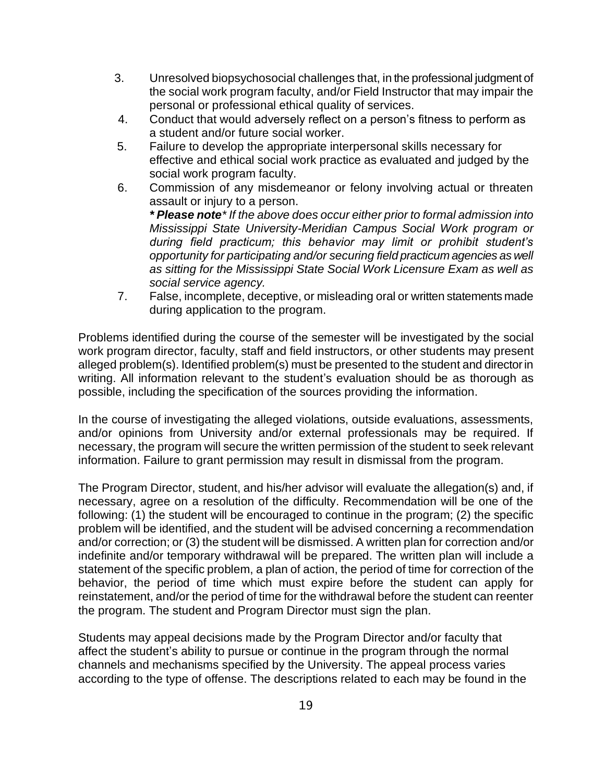- 3. Unresolved biopsychosocial challenges that, in the professional judgment of the social work program faculty, and/or Field Instructor that may impair the personal or professional ethical quality of services.
- 4. Conduct that would adversely reflect on a person's fitness to perform as a student and/or future social worker.
- 5. Failure to develop the appropriate interpersonal skills necessary for effective and ethical social work practice as evaluated and judged by the social work program faculty.
- 6. Commission of any misdemeanor or felony involving actual or threaten assault or injury to a person.

*\* Please note\* If the above does occur either prior to formal admission into Mississippi State University-Meridian Campus Social Work program or during field practicum; this behavior may limit or prohibit student's opportunity for participating and/or securing field practicum agencies as well as sitting for the Mississippi State Social Work Licensure Exam as well as social service agency.*

 7. False, incomplete, deceptive, or misleading oral or written statements made during application to the program.

Problems identified during the course of the semester will be investigated by the social work program director, faculty, staff and field instructors, or other students may present alleged problem(s). Identified problem(s) must be presented to the student and director in writing. All information relevant to the student's evaluation should be as thorough as possible, including the specification of the sources providing the information.

In the course of investigating the alleged violations, outside evaluations, assessments, and/or opinions from University and/or external professionals may be required. If necessary, the program will secure the written permission of the student to seek relevant information. Failure to grant permission may result in dismissal from the program.

The Program Director, student, and his/her advisor will evaluate the allegation(s) and, if necessary, agree on a resolution of the difficulty. Recommendation will be one of the following: (1) the student will be encouraged to continue in the program; (2) the specific problem will be identified, and the student will be advised concerning a recommendation and/or correction; or (3) the student will be dismissed. A written plan for correction and/or indefinite and/or temporary withdrawal will be prepared. The written plan will include a statement of the specific problem, a plan of action, the period of time for correction of the behavior, the period of time which must expire before the student can apply for reinstatement, and/or the period of time for the withdrawal before the student can reenter the program. The student and Program Director must sign the plan.

Students may appeal decisions made by the Program Director and/or faculty that affect the student's ability to pursue or continue in the program through the normal channels and mechanisms specified by the University. The appeal process varies according to the type of offense. The descriptions related to each may be found in the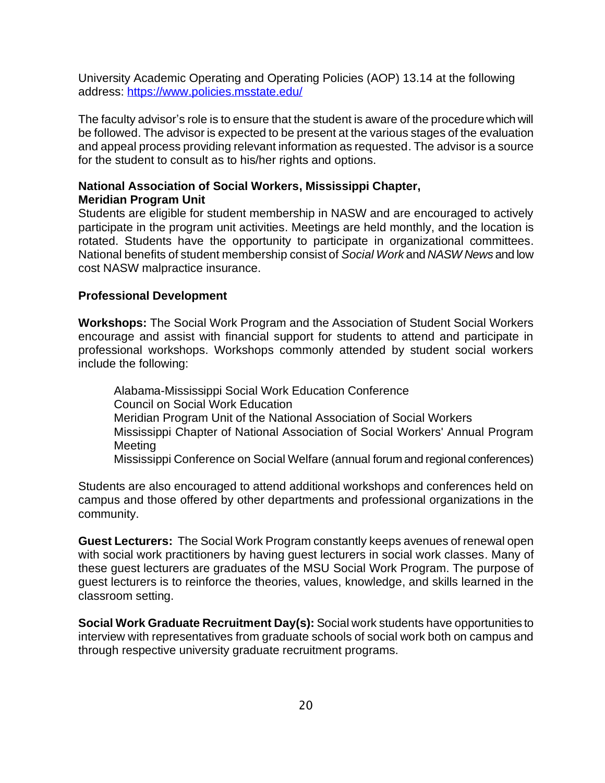University Academic Operating and Operating Policies (AOP) 13.14 at the following address:<https://www.policies.msstate.edu/>

The faculty advisor's role is to ensure that the student is aware of the procedure which will be followed. The advisor is expected to be present at the various stages of the evaluation and appeal process providing relevant information as requested. The advisor is a source for the student to consult as to his/her rights and options.

# <span id="page-19-0"></span>**National Association of Social Workers, Mississippi Chapter, Meridian Program Unit**

Students are eligible for student membership in NASW and are encouraged to actively participate in the program unit activities. Meetings are held monthly, and the location is rotated. Students have the opportunity to participate in organizational committees. National benefits of student membership consist of *Social Work* and *NASW News* and low cost NASW malpractice insurance.

# <span id="page-19-1"></span>**Professional Development**

**Workshops:** The Social Work Program and the Association of Student Social Workers encourage and assist with financial support for students to attend and participate in professional workshops. Workshops commonly attended by student social workers include the following:

Alabama-Mississippi Social Work Education Conference Council on Social Work Education Meridian Program Unit of the National Association of Social Workers Mississippi Chapter of National Association of Social Workers' Annual Program Meeting Mississippi Conference on Social Welfare (annual forum and regional conferences)

Students are also encouraged to attend additional workshops and conferences held on campus and those offered by other departments and professional organizations in the community.

**Guest Lecturers:** The Social Work Program constantly keeps avenues of renewal open with social work practitioners by having guest lecturers in social work classes. Many of these guest lecturers are graduates of the MSU Social Work Program. The purpose of guest lecturers is to reinforce the theories, values, knowledge, and skills learned in the classroom setting.

**Social Work Graduate Recruitment Day(s):** Social work students have opportunities to interview with representatives from graduate schools of social work both on campus and through respective university graduate recruitment programs.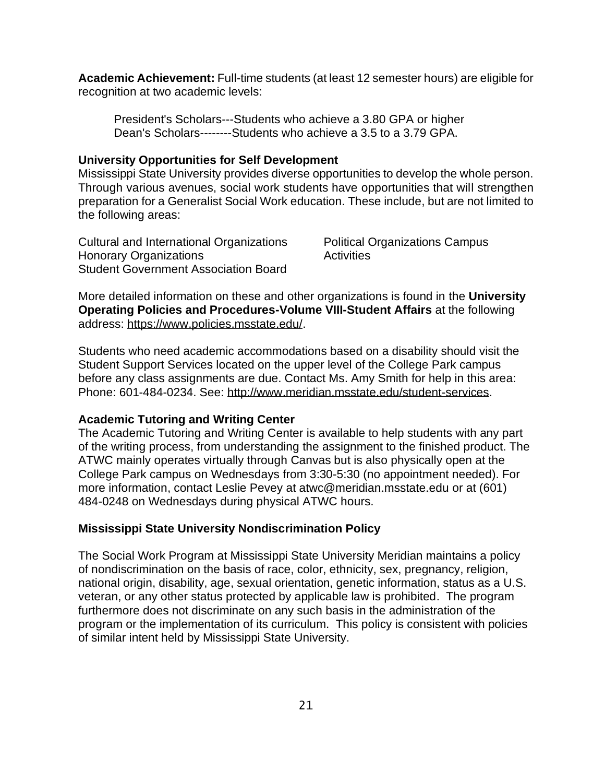**Academic Achievement:** Full-time students (at least 12 semester hours) are eligible for recognition at two academic levels:

President's Scholars---Students who achieve a 3.80 GPA or higher Dean's Scholars--------Students who achieve a 3.5 to a 3.79 GPA.

#### <span id="page-20-0"></span>**University Opportunities for Self Development**

Mississippi State University provides diverse opportunities to develop the whole person. Through various avenues, social work students have opportunities that will strengthen preparation for a Generalist Social Work education. These include, but are not limited to the following areas:

Cultural and International Organizations Honorary Organizations Student Government Association Board

Political Organizations Campus **Activities** 

More detailed information on these and other organizations is found in the **University Operating Policies and Procedures-Volume VIII-Student Affairs** at the following address: [https://www.policies.msstate.edu/.](https://www.policies.msstate.edu/)

Students who need academic accommodations based on a disability should visit the Student Support Services located on the upper level of the College Park campus before any class assignments are due. Contact Ms. Amy Smith for help in this area: Phone: 601-484-0234. See: [http://www.meridian.msstate.edu/student-services.](http://www.meridian.msstate.edu/student-services)

## **Academic Tutoring and Writing Center**

The Academic Tutoring and Writing Center is available to help students with any part of the writing process, from understanding the assignment to the finished product. The ATWC mainly operates virtually through Canvas but is also physically open at the College Park campus on Wednesdays from 3:30-5:30 (no appointment needed). For more information, contact Leslie Pevey at [atwc@meridian.msstate.edu](mailto:atwc@meridian.msstate.edu) or at (601) 484-0248 on Wednesdays during physical ATWC hours.

#### **Mississippi State University Nondiscrimination Policy**

The Social Work Program at Mississippi State University Meridian maintains a policy of nondiscrimination on the basis of race, color, ethnicity, sex, pregnancy, religion, national origin, disability, age, sexual orientation, genetic information, status as a U.S. veteran, or any other status protected by applicable law is prohibited. The program furthermore does not discriminate on any such basis in the administration of the program or the implementation of its curriculum. This policy is consistent with policies of similar intent held by Mississippi State University.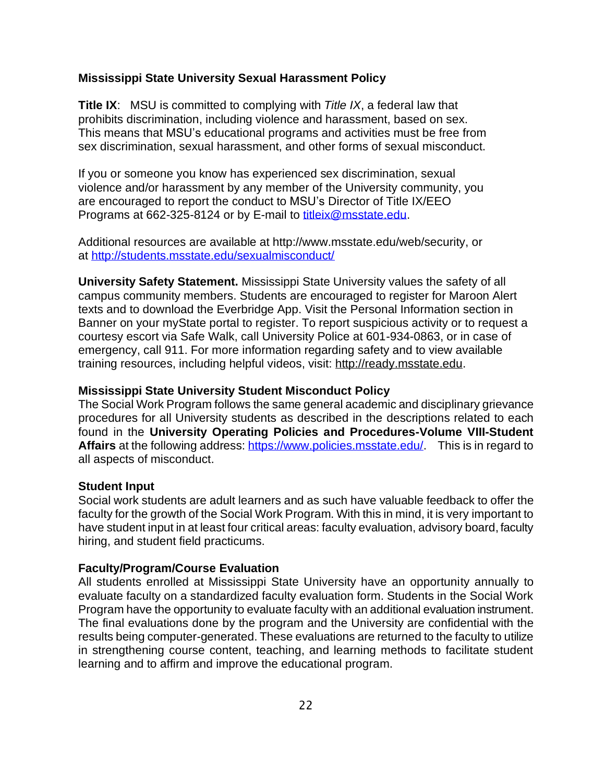#### **Mississippi State University Sexual Harassment Policy**

**Title IX**: MSU is committed to complying with *Title IX*, a federal law that prohibits discrimination, including violence and harassment, based on sex. This means that MSU's educational programs and activities must be free from sex discrimination, sexual harassment, and other forms of sexual misconduct.

If you or someone you know has experienced sex discrimination, sexual violence and/or harassment by any member of the University community, you are encouraged to report the conduct to MSU's Director of Title IX/EEO Programs at 662-325-8124 or by E-mail to [titleix@msstate.edu.](mailto:titleix@msstate.edu)

Additional resources are available at http://www.msstate.edu/web/security, or at <http://students.msstate.edu/sexualmisconduct/>

**University Safety Statement.** Mississippi State University values the safety of all campus community members. Students are encouraged to register for Maroon Alert texts and to download the Everbridge App. Visit the Personal Information section in Banner on your myState portal to register. To report suspicious activity or to request a courtesy escort via Safe Walk, call University Police at 601-934-0863, or in case of emergency, call 911. For more information regarding safety and to view available training resources, including helpful videos, visit: [http://ready.msstate.edu.](http://ready.msstate.edu/)

#### **Mississippi State University Student Misconduct Policy**

The Social Work Program follows the same general academic and disciplinary grievance procedures for all University students as described in the descriptions related to each found in the **University Operating Policies and Procedures-Volume VIII-Student**  Affairs at the following address: [https://www.policies.msstate.edu/.](https://www.policies.msstate.edu/) This is in regard to all aspects of misconduct.

#### <span id="page-21-0"></span>**Student Input**

Social work students are adult learners and as such have valuable feedback to offer the faculty for the growth of the Social Work Program. With this in mind, it is very important to have student input in at least four critical areas: faculty evaluation, advisory board, faculty hiring, and student field practicums.

#### **Faculty/Program/Course Evaluation**

<span id="page-21-1"></span>All students enrolled at Mississippi State University have an opportunity annually to evaluate faculty on a standardized faculty evaluation form. Students in the Social Work Program have the opportunity to evaluate faculty with an additional evaluation instrument. The final evaluations done by the program and the University are confidential with the results being computer-generated. These evaluations are returned to the faculty to utilize in strengthening course content, teaching, and learning methods to facilitate student learning and to affirm and improve the educational program.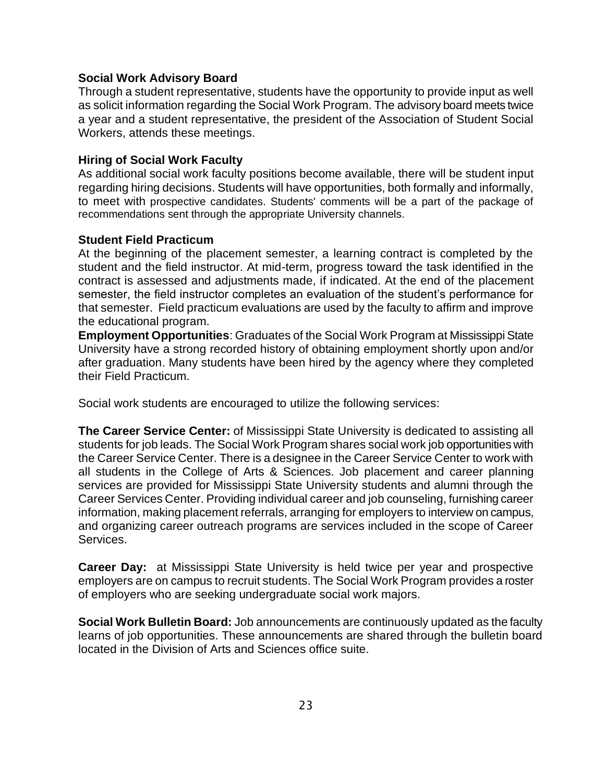#### <span id="page-22-0"></span>**Social Work Advisory Board**

Through a student representative, students have the opportunity to provide input as well as solicit information regarding the Social Work Program. The advisory board meets twice a year and a student representative, the president of the Association of Student Social Workers, attends these meetings.

#### <span id="page-22-1"></span>**Hiring of Social Work Faculty**

As additional social work faculty positions become available, there will be student input regarding hiring decisions. Students will have opportunities, both formally and informally, to meet with prospective candidates. Students' comments will be a part of the package of recommendations sent through the appropriate University channels.

#### <span id="page-22-2"></span>**Student Field Practicum**

At the beginning of the placement semester, a learning contract is completed by the student and the field instructor. At mid-term, progress toward the task identified in the contract is assessed and adjustments made, if indicated. At the end of the placement semester, the field instructor completes an evaluation of the student's performance for that semester. Field practicum evaluations are used by the faculty to affirm and improve the educational program.

<span id="page-22-3"></span>**Employment Opportunities**: Graduates of the Social Work Program at Mississippi State University have a strong recorded history of obtaining employment shortly upon and/or after graduation. Many students have been hired by the agency where they completed their Field Practicum.

Social work students are encouraged to utilize the following services:

**The Career Service Center:** of Mississippi State University is dedicated to assisting all students for job leads. The Social Work Program shares social work job opportunities with the Career Service Center. There is a designee in the Career Service Center to work with all students in the College of Arts & Sciences. Job placement and career planning services are provided for Mississippi State University students and alumni through the Career Services Center. Providing individual career and job counseling, furnishing career information, making placement referrals, arranging for employers to interview on campus, and organizing career outreach programs are services included in the scope of Career Services.

**Career Day:** at Mississippi State University is held twice per year and prospective employers are on campus to recruit students. The Social Work Program provides a roster of employers who are seeking undergraduate social work majors.

**Social Work Bulletin Board:** Job announcements are continuously updated as the faculty learns of job opportunities. These announcements are shared through the bulletin board located in the Division of Arts and Sciences office suite.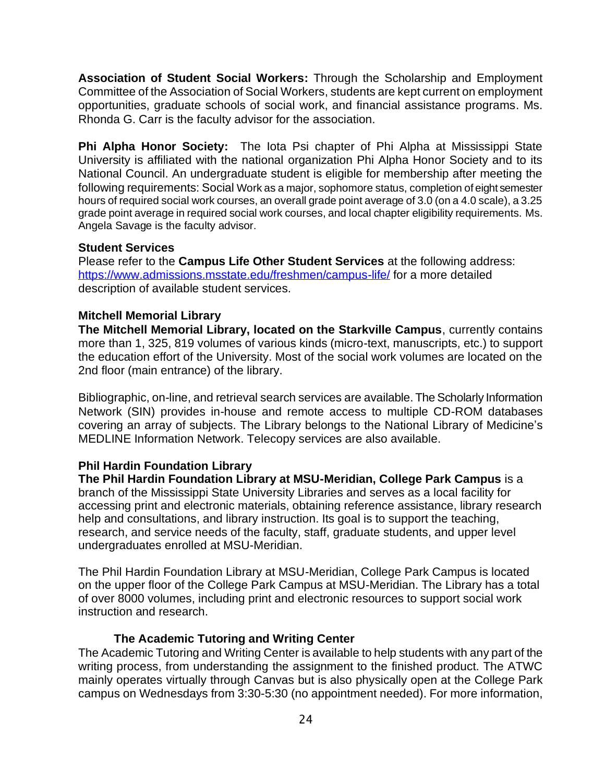**Association of Student Social Workers:** Through the Scholarship and Employment Committee of the Association of Social Workers, students are kept current on employment opportunities, graduate schools of social work, and financial assistance programs. Ms. Rhonda G. Carr is the faculty advisor for the association.

<span id="page-23-0"></span>**Phi Alpha Honor Society:** The Iota Psi chapter of Phi Alpha at Mississippi State University is affiliated with the national organization Phi Alpha Honor Society and to its National Council. An undergraduate student is eligible for membership after meeting the following requirements: Social Work as a major, sophomore status, completion of eight semester hours of required social work courses, an overall grade point average of 3.0 (on a 4.0 scale), a 3.25 grade point average in required social work courses, and local chapter eligibility requirements. Ms. Angela Savage is the faculty advisor.

## **Student Services**

Please refer to the **Campus Life Other Student Services** at the following address: <https://www.admissions.msstate.edu/freshmen/campus-life/> for a more detailed description of available student services.

#### **Mitchell Memorial Library**

**The Mitchell Memorial Library, located on the Starkville Campus**, currently contains more than 1, 325, 819 volumes of various kinds (micro-text, manuscripts, etc.) to support the education effort of the University. Most of the social work volumes are located on the 2nd floor (main entrance) of the library.

Bibliographic, on-line, and retrieval search services are available. The Scholarly Information Network (SIN) provides in-house and remote access to multiple CD-ROM databases covering an array of subjects. The Library belongs to the National Library of Medicine's MEDLINE Information Network. Telecopy services are also available.

## **Phil Hardin Foundation Library**

**The Phil Hardin Foundation Library at MSU-Meridian, College Park Campus** is a branch of the Mississippi State University Libraries and serves as a local facility for accessing print and electronic materials, obtaining reference assistance, library research help and consultations, and library instruction. Its goal is to support the teaching, research, and service needs of the faculty, staff, graduate students, and upper level undergraduates enrolled at MSU-Meridian.

The Phil Hardin Foundation Library at MSU-Meridian, College Park Campus is located on the upper floor of the College Park Campus at MSU-Meridian. The Library has a total of over 8000 volumes, including print and electronic resources to support social work instruction and research.

## **The Academic Tutoring and Writing Center**

The Academic Tutoring and Writing Center is available to help students with any part of the writing process, from understanding the assignment to the finished product. The ATWC mainly operates virtually through Canvas but is also physically open at the College Park campus on Wednesdays from 3:30-5:30 (no appointment needed). For more information,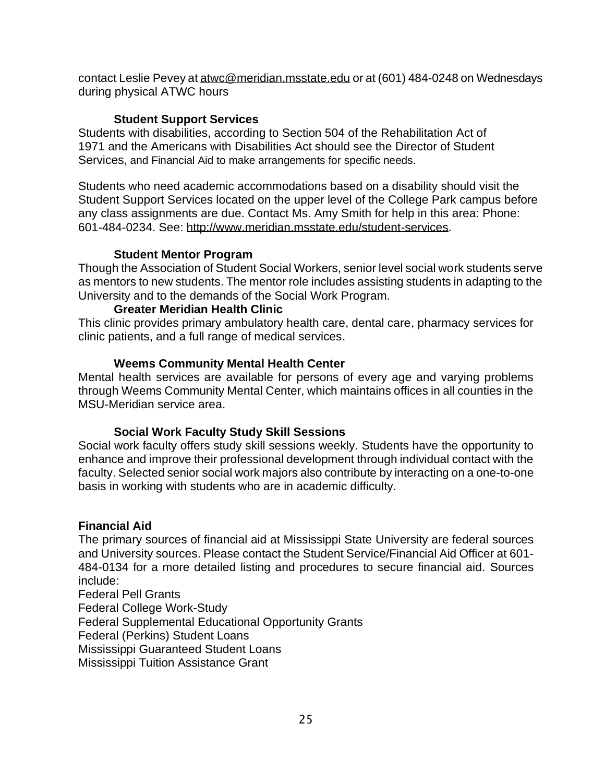contact Leslie Pevey at [atwc@meridian.msstate.edu](mailto:atwc@meridian.msstate.edu) or at (601) 484-0248 on Wednesdays during physical ATWC hours

# **Student Support Services**

Students with disabilities, according to Section 504 of the Rehabilitation Act of 1971 and the Americans with Disabilities Act should see the Director of Student Services, and Financial Aid to make arrangements for specific needs.

Students who need academic accommodations based on a disability should visit the Student Support Services located on the upper level of the College Park campus before any class assignments are due. Contact Ms. Amy Smith for help in this area: Phone: 601-484-0234. See: [http://www.meridian.msstate.edu/student-services.](http://www.meridian.msstate.edu/student-services)

# **Student Mentor Program**

Though the Association of Student Social Workers, senior level social work students serve as mentors to new students. The mentor role includes assisting students in adapting to the University and to the demands of the Social Work Program.

# **Greater Meridian Health Clinic**

This clinic provides primary ambulatory health care, dental care, pharmacy services for clinic patients, and a full range of medical services.

# **Weems Community Mental Health Center**

Mental health services are available for persons of every age and varying problems through Weems Community Mental Center, which maintains offices in all counties in the MSU-Meridian service area.

# **Social Work Faculty Study Skill Sessions**

Social work faculty offers study skill sessions weekly. Students have the opportunity to enhance and improve their professional development through individual contact with the faculty. Selected senior social work majors also contribute by interacting on a one-to-one basis in working with students who are in academic difficulty.

# **Financial Aid**

The primary sources of financial aid at Mississippi State University are federal sources and University sources. Please contact the Student Service/Financial Aid Officer at 601- 484-0134 for a more detailed listing and procedures to secure financial aid. Sources include:

Federal Pell Grants Federal College Work-Study Federal Supplemental Educational Opportunity Grants Federal (Perkins) Student Loans Mississippi Guaranteed Student Loans Mississippi Tuition Assistance Grant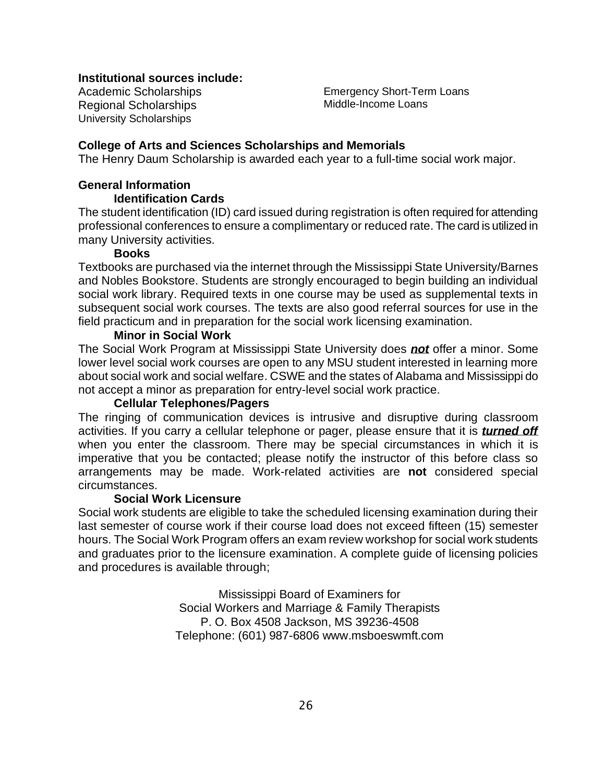## **Institutional sources include:**

Academic Scholarships Regional Scholarships University Scholarships

Emergency Short-Term Loans Middle-Income Loans

## **College of Arts and Sciences Scholarships and Memorials**

<span id="page-25-0"></span>The Henry Daum Scholarship is awarded each year to a full-time social work major.

# **General Information**

**Identification Cards**

The student identification (ID) card issued during registration is often required for attending professional conferences to ensure a complimentary or reduced rate. The card is utilized in many University activities.

## **Books**

Textbooks are purchased via the internet through the Mississippi State University/Barnes and Nobles Bookstore. Students are strongly encouraged to begin building an individual social work library. Required texts in one course may be used as supplemental texts in subsequent social work courses. The texts are also good referral sources for use in the field practicum and in preparation for the social work licensing examination.

## **Minor in Social Work**

The Social Work Program at Mississippi State University does *not* offer a minor. Some lower level social work courses are open to any MSU student interested in learning more about social work and social welfare. CSWE and the states of Alabama and Mississippi do not accept a minor as preparation for entry-level social work practice.

## **Cellular Telephones/Pagers**

The ringing of communication devices is intrusive and disruptive during classroom activities. If you carry a cellular telephone or pager, please ensure that it is *turned off* when you enter the classroom. There may be special circumstances in which it is imperative that you be contacted; please notify the instructor of this before class so arrangements may be made. Work-related activities are **not** considered special circumstances.

## **Social Work Licensure**

Social work students are eligible to take the scheduled licensing examination during their last semester of course work if their course load does not exceed fifteen (15) semester hours. The Social Work Program offers an exam review workshop for social work students and graduates prior to the licensure examination. A complete guide of licensing policies and procedures is available through;

> <span id="page-25-1"></span>Mississippi Board of Examiners for Social Workers and Marriage & Family Therapists P. O. Box 4508 Jackson, MS 39236-4508 Telephone: (601) 987-6806 www.msboeswmft.com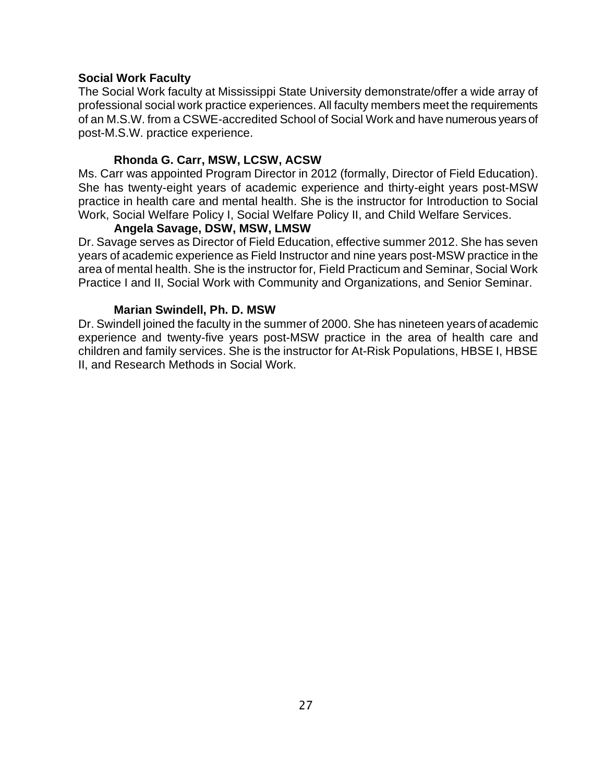## **Social Work Faculty**

The Social Work faculty at Mississippi State University demonstrate/offer a wide array of professional social work practice experiences. All faculty members meet the requirements of an M.S.W. from a CSWE-accredited School of Social Work and have numerous years of post-M.S.W. practice experience.

## **Rhonda G. Carr, MSW, LCSW, ACSW**

Ms. Carr was appointed Program Director in 2012 (formally, Director of Field Education). She has twenty-eight years of academic experience and thirty-eight years post-MSW practice in health care and mental health. She is the instructor for Introduction to Social Work, Social Welfare Policy I, Social Welfare Policy II, and Child Welfare Services.

## **Angela Savage, DSW, MSW, LMSW**

Dr. Savage serves as Director of Field Education, effective summer 2012. She has seven years of academic experience as Field Instructor and nine years post-MSW practice in the area of mental health. She is the instructor for, Field Practicum and Seminar, Social Work Practice I and II, Social Work with Community and Organizations, and Senior Seminar.

## **Marian Swindell, Ph. D. MSW**

Dr. Swindell joined the faculty in the summer of 2000. She has nineteen years of academic experience and twenty-five years post-MSW practice in the area of health care and children and family services. She is the instructor for At-Risk Populations, HBSE I, HBSE II, and Research Methods in Social Work.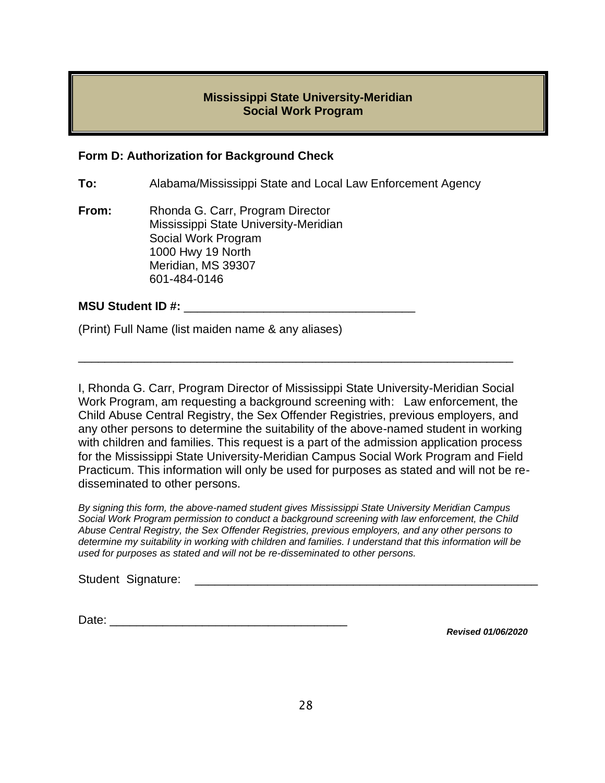# **Mississippi State University-Meridian Social Work Program**

# **Form D: Authorization for Background Check**

**To:** Alabama/Mississippi State and Local Law Enforcement Agency

**From:** Rhonda G. Carr, Program Director Mississippi State University-Meridian Social Work Program 1000 Hwy 19 North Meridian, MS 39307 601-484-0146

## **MSU Student ID #:**  $\blacksquare$

(Print) Full Name (list maiden name & any aliases)

I, Rhonda G. Carr, Program Director of Mississippi State University-Meridian Social Work Program, am requesting a background screening with: Law enforcement, the Child Abuse Central Registry, the Sex Offender Registries, previous employers, and any other persons to determine the suitability of the above-named student in working with children and families. This request is a part of the admission application process for the Mississippi State University-Meridian Campus Social Work Program and Field Practicum. This information will only be used for purposes as stated and will not be redisseminated to other persons.

\_\_\_\_\_\_\_\_\_\_\_\_\_\_\_\_\_\_\_\_\_\_\_\_\_\_\_\_\_\_\_\_\_\_\_\_\_\_\_\_\_\_\_\_\_\_\_\_\_\_\_\_\_\_\_\_\_\_\_\_\_\_\_\_\_\_

*By signing this form, the above-named student gives Mississippi State University Meridian Campus Social Work Program permission to conduct a background screening with law enforcement, the Child Abuse Central Registry, the Sex Offender Registries, previous employers, and any other persons to determine my suitability in working with children and families. I understand that this information will be used for purposes as stated and will not be re-disseminated to other persons.*

Student Signature:

Date: \_\_\_\_\_\_\_\_\_\_\_\_\_\_\_\_\_\_\_\_\_\_\_\_\_\_\_\_\_\_\_\_\_\_\_\_

*Revised 01/06/2020*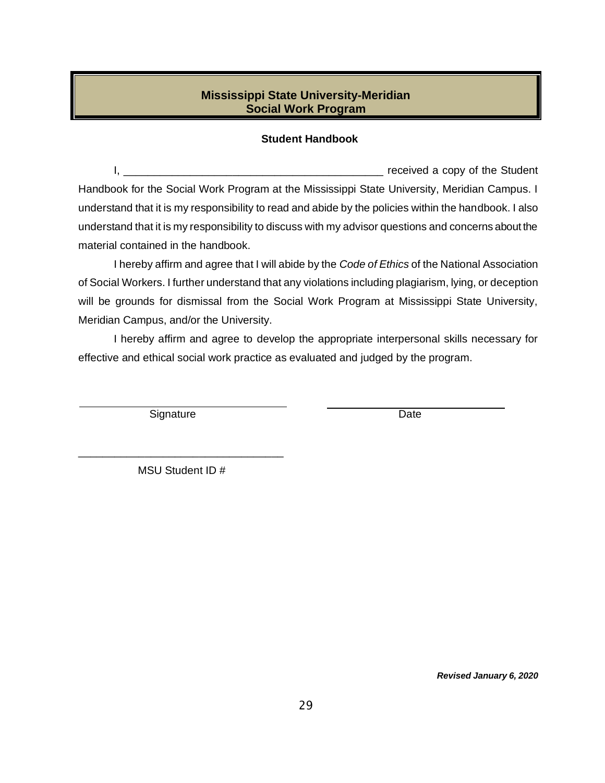# **Mississippi State University-Meridian Social Work Program**

#### **Student Handbook**

I, \_\_\_\_\_\_\_\_\_\_\_\_\_\_\_\_\_\_\_\_\_\_\_\_\_\_\_\_\_\_\_\_\_\_\_\_\_\_\_\_\_\_\_ received a copy of the Student Handbook for the Social Work Program at the Mississippi State University, Meridian Campus. I understand that it is my responsibility to read and abide by the policies within the handbook. I also understand that it is my responsibility to discuss with my advisor questions and concerns about the material contained in the handbook.

I hereby affirm and agree that I will abide by the *Code of Ethics* of the National Association of Social Workers. I further understand that any violations including plagiarism, lying, or deception will be grounds for dismissal from the Social Work Program at Mississippi State University, Meridian Campus, and/or the University.

I hereby affirm and agree to develop the appropriate interpersonal skills necessary for effective and ethical social work practice as evaluated and judged by the program.

Signature Date

\_\_\_\_\_\_\_\_\_\_\_\_\_\_\_\_\_\_\_\_\_\_\_\_\_\_\_\_\_\_\_\_\_\_ MSU Student ID #

*Revised January 6, 2020*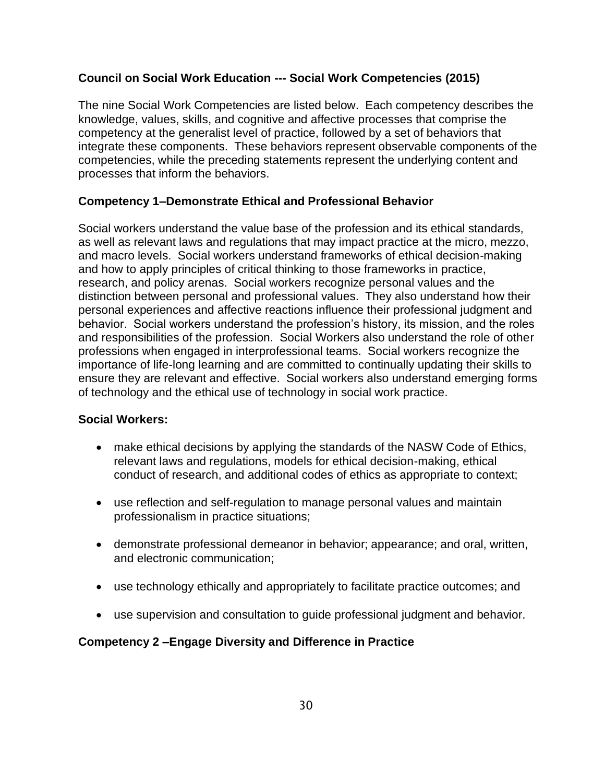# **Council on Social Work Education --- Social Work Competencies (2015)**

The nine Social Work Competencies are listed below. Each competency describes the knowledge, values, skills, and cognitive and affective processes that comprise the competency at the generalist level of practice, followed by a set of behaviors that integrate these components. These behaviors represent observable components of the competencies, while the preceding statements represent the underlying content and processes that inform the behaviors.

# **Competency 1–Demonstrate Ethical and Professional Behavior**

Social workers understand the value base of the profession and its ethical standards, as well as relevant laws and regulations that may impact practice at the micro, mezzo, and macro levels. Social workers understand frameworks of ethical decision-making and how to apply principles of critical thinking to those frameworks in practice, research, and policy arenas. Social workers recognize personal values and the distinction between personal and professional values. They also understand how their personal experiences and affective reactions influence their professional judgment and behavior. Social workers understand the profession's history, its mission, and the roles and responsibilities of the profession. Social Workers also understand the role of other professions when engaged in interprofessional teams. Social workers recognize the importance of life-long learning and are committed to continually updating their skills to ensure they are relevant and effective. Social workers also understand emerging forms of technology and the ethical use of technology in social work practice.

# **Social Workers:**

- make ethical decisions by applying the standards of the NASW Code of Ethics, relevant laws and regulations, models for ethical decision-making, ethical conduct of research, and additional codes of ethics as appropriate to context;
- use reflection and self-regulation to manage personal values and maintain professionalism in practice situations;
- demonstrate professional demeanor in behavior; appearance; and oral, written, and electronic communication;
- use technology ethically and appropriately to facilitate practice outcomes; and
- use supervision and consultation to guide professional judgment and behavior.

# **Competency 2 –Engage Diversity and Difference in Practice**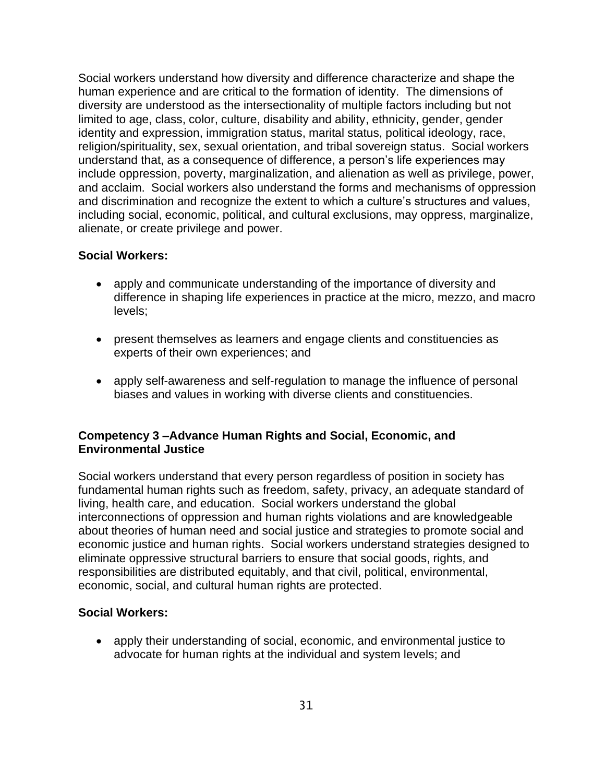Social workers understand how diversity and difference characterize and shape the human experience and are critical to the formation of identity. The dimensions of diversity are understood as the intersectionality of multiple factors including but not limited to age, class, color, culture, disability and ability, ethnicity, gender, gender identity and expression, immigration status, marital status, political ideology, race, religion/spirituality, sex, sexual orientation, and tribal sovereign status. Social workers understand that, as a consequence of difference, a person's life experiences may include oppression, poverty, marginalization, and alienation as well as privilege, power, and acclaim. Social workers also understand the forms and mechanisms of oppression and discrimination and recognize the extent to which a culture's structures and values, including social, economic, political, and cultural exclusions, may oppress, marginalize, alienate, or create privilege and power.

# **Social Workers:**

- apply and communicate understanding of the importance of diversity and difference in shaping life experiences in practice at the micro, mezzo, and macro levels;
- present themselves as learners and engage clients and constituencies as experts of their own experiences; and
- apply self-awareness and self-regulation to manage the influence of personal biases and values in working with diverse clients and constituencies.

# **Competency 3 –Advance Human Rights and Social, Economic, and Environmental Justice**

Social workers understand that every person regardless of position in society has fundamental human rights such as freedom, safety, privacy, an adequate standard of living, health care, and education. Social workers understand the global interconnections of oppression and human rights violations and are knowledgeable about theories of human need and social justice and strategies to promote social and economic justice and human rights. Social workers understand strategies designed to eliminate oppressive structural barriers to ensure that social goods, rights, and responsibilities are distributed equitably, and that civil, political, environmental, economic, social, and cultural human rights are protected.

## **Social Workers:**

• apply their understanding of social, economic, and environmental justice to advocate for human rights at the individual and system levels; and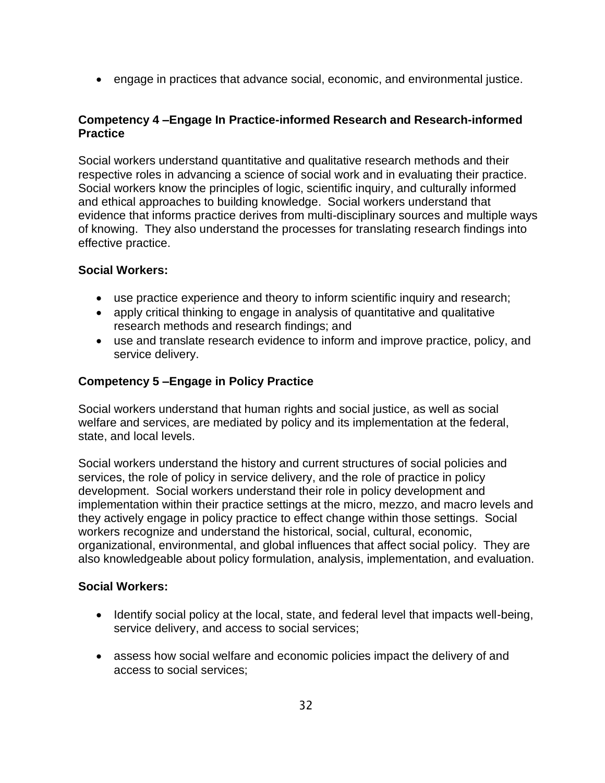• engage in practices that advance social, economic, and environmental justice.

# **Competency 4 –Engage In Practice-informed Research and Research-informed Practice**

Social workers understand quantitative and qualitative research methods and their respective roles in advancing a science of social work and in evaluating their practice. Social workers know the principles of logic, scientific inquiry, and culturally informed and ethical approaches to building knowledge. Social workers understand that evidence that informs practice derives from multi-disciplinary sources and multiple ways of knowing. They also understand the processes for translating research findings into effective practice.

# **Social Workers:**

- use practice experience and theory to inform scientific inquiry and research;
- apply critical thinking to engage in analysis of quantitative and qualitative research methods and research findings; and
- use and translate research evidence to inform and improve practice, policy, and service delivery.

# **Competency 5 –Engage in Policy Practice**

Social workers understand that human rights and social justice, as well as social welfare and services, are mediated by policy and its implementation at the federal, state, and local levels.

Social workers understand the history and current structures of social policies and services, the role of policy in service delivery, and the role of practice in policy development. Social workers understand their role in policy development and implementation within their practice settings at the micro, mezzo, and macro levels and they actively engage in policy practice to effect change within those settings. Social workers recognize and understand the historical, social, cultural, economic, organizational, environmental, and global influences that affect social policy. They are also knowledgeable about policy formulation, analysis, implementation, and evaluation.

# **Social Workers:**

- Identify social policy at the local, state, and federal level that impacts well-being, service delivery, and access to social services;
- assess how social welfare and economic policies impact the delivery of and access to social services;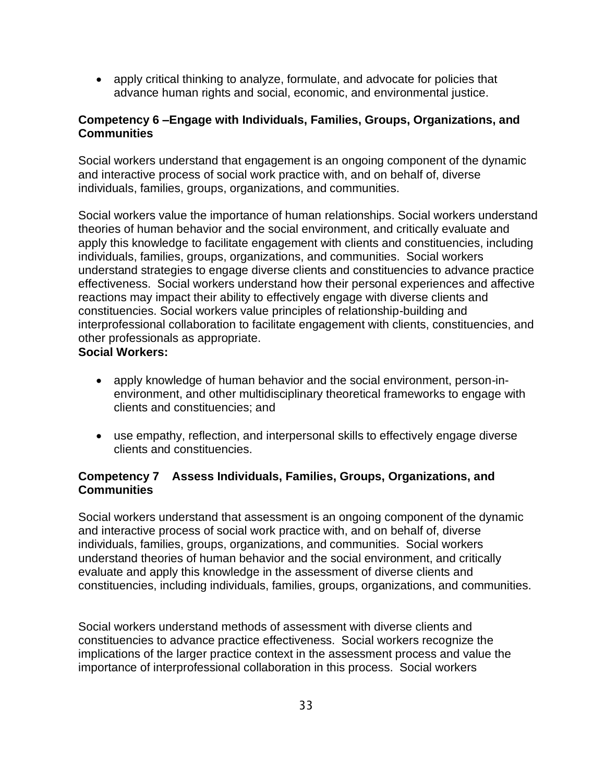• apply critical thinking to analyze, formulate, and advocate for policies that advance human rights and social, economic, and environmental justice.

# **Competency 6 –Engage with Individuals, Families, Groups, Organizations, and Communities**

Social workers understand that engagement is an ongoing component of the dynamic and interactive process of social work practice with, and on behalf of, diverse individuals, families, groups, organizations, and communities.

Social workers value the importance of human relationships. Social workers understand theories of human behavior and the social environment, and critically evaluate and apply this knowledge to facilitate engagement with clients and constituencies, including individuals, families, groups, organizations, and communities. Social workers understand strategies to engage diverse clients and constituencies to advance practice effectiveness. Social workers understand how their personal experiences and affective reactions may impact their ability to effectively engage with diverse clients and constituencies. Social workers value principles of relationship-building and interprofessional collaboration to facilitate engagement with clients, constituencies, and other professionals as appropriate. **Social Workers:** 

- apply knowledge of human behavior and the social environment, person-inenvironment, and other multidisciplinary theoretical frameworks to engage with clients and constituencies; and
- use empathy, reflection, and interpersonal skills to effectively engage diverse clients and constituencies.

# **Competency 7 Assess Individuals, Families, Groups, Organizations, and Communities**

Social workers understand that assessment is an ongoing component of the dynamic and interactive process of social work practice with, and on behalf of, diverse individuals, families, groups, organizations, and communities. Social workers understand theories of human behavior and the social environment, and critically evaluate and apply this knowledge in the assessment of diverse clients and constituencies, including individuals, families, groups, organizations, and communities.

Social workers understand methods of assessment with diverse clients and constituencies to advance practice effectiveness. Social workers recognize the implications of the larger practice context in the assessment process and value the importance of interprofessional collaboration in this process. Social workers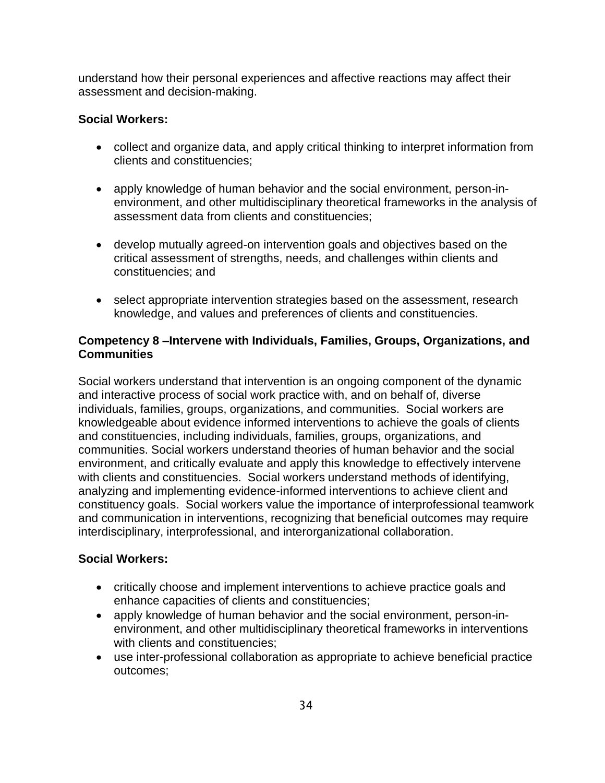understand how their personal experiences and affective reactions may affect their assessment and decision-making.

# **Social Workers:**

- collect and organize data, and apply critical thinking to interpret information from clients and constituencies;
- apply knowledge of human behavior and the social environment, person-inenvironment, and other multidisciplinary theoretical frameworks in the analysis of assessment data from clients and constituencies;
- develop mutually agreed-on intervention goals and objectives based on the critical assessment of strengths, needs, and challenges within clients and constituencies; and
- select appropriate intervention strategies based on the assessment, research knowledge, and values and preferences of clients and constituencies.

# **Competency 8 –Intervene with Individuals, Families, Groups, Organizations, and Communities**

Social workers understand that intervention is an ongoing component of the dynamic and interactive process of social work practice with, and on behalf of, diverse individuals, families, groups, organizations, and communities. Social workers are knowledgeable about evidence informed interventions to achieve the goals of clients and constituencies, including individuals, families, groups, organizations, and communities. Social workers understand theories of human behavior and the social environment, and critically evaluate and apply this knowledge to effectively intervene with clients and constituencies. Social workers understand methods of identifying, analyzing and implementing evidence-informed interventions to achieve client and constituency goals. Social workers value the importance of interprofessional teamwork and communication in interventions, recognizing that beneficial outcomes may require interdisciplinary, interprofessional, and interorganizational collaboration.

# **Social Workers:**

- critically choose and implement interventions to achieve practice goals and enhance capacities of clients and constituencies;
- apply knowledge of human behavior and the social environment, person-inenvironment, and other multidisciplinary theoretical frameworks in interventions with clients and constituencies:
- use inter-professional collaboration as appropriate to achieve beneficial practice outcomes;